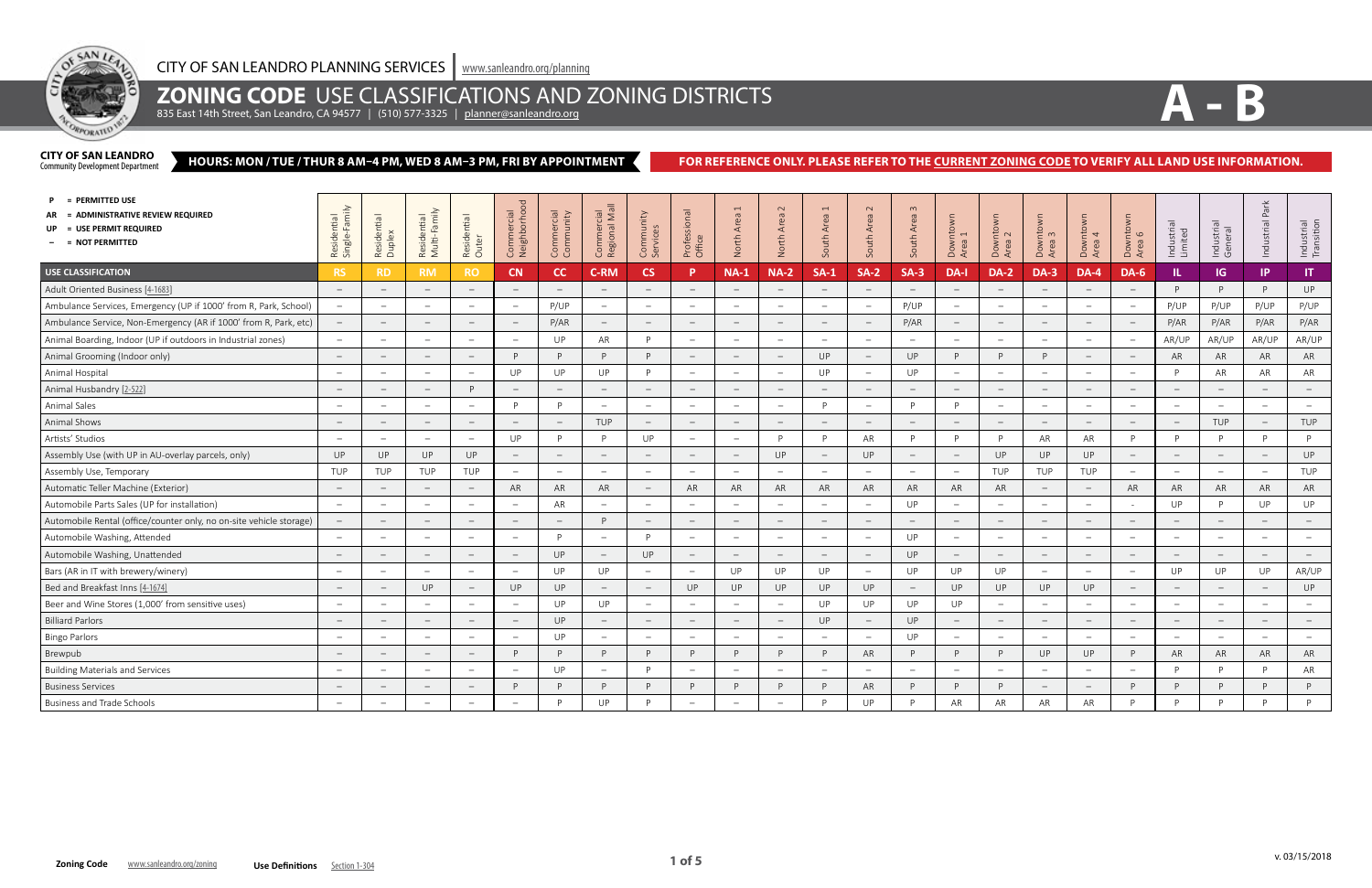

## **ZONING CODE** USE CLASSIFICATIONS AND ZONING DISTRICTS

835 East 14th Street, San Leandro, CA 94577 | (510) 577-3325 | <u>[planner@sanleandro.org](mailto:planner%40sanleandro.org?subject=)</u>

#### **HOURS: MON / TUE / THUR 8 AM–4 PM, WED 8 AM–3 PM, FRI BY APPOINTMENT CITY OF SAN LEANDRO**<br>Community Development Department

### FOR REFERENCE ONLY. PLEASE REFER TO THE **CURRENT ZONING CODE** TO VERIFY ALL LAND USE INFORMATION.

| = PERMITTED USE<br>= ADMINISTRATIVE REVIEW REQUIRED<br>UP = USE PERMIT REQUIRED<br>$-$ = NOT PERMITTED | mily<br>Residential<br>Single-Famil | Residential<br>Duplex    | Residential<br>Multi-Family     | Residential<br>Outer            | Commercial<br>Neighborhood | Commercial<br>Community         | Commercial<br>Regional Mall     | Community<br>Services           | Professional<br>Office   | $\overline{ }$<br>North Area    | $\sim$<br>Area<br>North         | $\overline{ }$<br>South Area    | $\sim$<br>South Area            | $\infty$<br>South Area          | Downtown<br>Area 1              | Downtown<br>Area 2<br>Area      | Downtown<br>Area 3              | Downtown<br>Area 4       | Downtown<br>Area 6              | Industrial<br>Limited    | Industrial<br>General           | 쏜<br>$\overline{P}$ q<br>Industrial | Industrial<br>Transition        |
|--------------------------------------------------------------------------------------------------------|-------------------------------------|--------------------------|---------------------------------|---------------------------------|----------------------------|---------------------------------|---------------------------------|---------------------------------|--------------------------|---------------------------------|---------------------------------|---------------------------------|---------------------------------|---------------------------------|---------------------------------|---------------------------------|---------------------------------|--------------------------|---------------------------------|--------------------------|---------------------------------|-------------------------------------|---------------------------------|
| USE CLASSIFICATION                                                                                     | <b>RS</b>                           | RD.                      | <b>RM</b>                       | <b>RO</b>                       | <b>CN</b>                  | cc                              | <b>C-RM</b>                     | <b>CS</b>                       | D                        | <b>NA-1</b>                     | <b>NA-2</b>                     | $SA-1$                          | $SA-2$                          | $SA-3$                          | DA-I                            | <b>DA-2</b>                     | <b>DA-3</b>                     | <b>DA-4</b>              | <b>DA-6</b>                     | IL.                      | IG.                             | IP.                                 | $\mathsf{I}\mathsf{T}$          |
| Adult Oriented Business [4-1683]                                                                       | $\overline{\phantom{a}}$            | $\qquad \qquad -$        | $\equiv$                        | $ \,$                           | $\overline{\phantom{a}}$   | $\equiv$                        | $\overline{\phantom{0}}$        | $ \,$                           |                          | $\sim$                          | $\overline{\phantom{0}}$        | $\overline{\phantom{a}}$        | $ \,$                           | $\overline{\phantom{0}}$        | $\equiv$                        | $\overline{\phantom{0}}$        | $ \,$                           | $\sim$                   | $\equiv$                        | D                        | P                               | D                                   | UP                              |
| Ambulance Services, Emergency (UP if 1000' from R, Park, School)                                       | $\equiv$                            | $\overline{\phantom{a}}$ | $\overline{\phantom{m}}$        | $-$                             | $\overline{\phantom{m}}$   | P/UP                            | $\hspace{0.1mm}-\hspace{0.1mm}$ | $\equiv$                        |                          | $\equiv$                        | $\overline{\phantom{a}}$        | $\overline{\phantom{0}}$        | $\overline{\phantom{m}}$        | P/UP                            | $\equiv$                        | $\overline{\phantom{a}}$        | $\equiv$                        | $\overline{\phantom{m}}$ | $\equiv$                        | P/UP                     | P/UP                            | P/UP                                | P/UP                            |
| Ambulance Service, Non-Emergency (AR if 1000' from R, Park, etc)                                       | $\hspace{0.1mm}-\hspace{0.1mm}$     | $\overline{\phantom{m}}$ | $\hspace{0.1mm}-\hspace{0.1mm}$ | $\hspace{0.1mm}-\hspace{0.1mm}$ | $\overline{\phantom{a}}$   | P/AR                            | $\hspace{0.1mm}-\hspace{0.1mm}$ | $\hspace{0.1mm}-\hspace{0.1mm}$ |                          | $\overline{\phantom{0}}$        | $\hspace{0.1mm}-\hspace{0.1mm}$ | $\qquad \qquad -$               | $\hspace{0.1mm}-\hspace{0.1mm}$ | P/AR                            | $\overline{\phantom{0}}$        | $\hspace{0.1mm}$                | $\hspace{0.1mm}-\hspace{0.1mm}$ | $\overline{\phantom{m}}$ | $\hspace{0.1mm}-\hspace{0.1mm}$ | P/AR                     | P/AR                            | P/AR                                | P/AR                            |
| Animal Boarding, Indoor (UP if outdoors in Industrial zones)                                           | $\equiv$                            | $\equiv$                 | $\overline{\phantom{m}}$        | $-$                             |                            | <b>UP</b>                       | AR                              | P                               |                          | $\overline{\phantom{a}}$        | $\overline{\phantom{0}}$        | $\overline{\phantom{m}}$        | $ \,$                           | $\overline{\phantom{a}}$        | $\equiv$                        | $\overline{\phantom{m}}$        | $\equiv$                        | $\overline{\phantom{0}}$ | $\equiv$                        | AR/UP                    | AR/UP                           | AR/UP                               | AR/UP                           |
| Animal Grooming (Indoor only)                                                                          | $\hspace{0.1mm}-\hspace{0.1mm}$     | $\overline{\phantom{a}}$ | $\overline{\phantom{a}}$        | $\qquad -$                      | P                          | P                               | D                               | P                               |                          | $\equiv$                        | $\hspace{0.1mm}-\hspace{0.1mm}$ | UP                              | $\overline{\phantom{m}}$        | UP                              | P                               | D                               | P                               | $\overline{\phantom{m}}$ | $\equiv$                        | AR                       | AR                              | AR                                  | AR                              |
| Animal Hospital                                                                                        | $\hspace{0.1mm}-\hspace{0.1mm}$     | $\overline{\phantom{0}}$ | $\overline{\phantom{m}}$        | $\equiv$                        | UP                         | UP                              | <b>UP</b>                       | P                               |                          | $-$                             | $\overline{\phantom{m}}$        | UP                              | $\equiv$                        | UP                              | $\overline{\phantom{m}}$        | $\overline{\phantom{a}}$        | $\equiv$                        | $\overline{\phantom{0}}$ | $-$                             |                          | AR                              | AR                                  | AR                              |
| Animal Husbandry [2-522]                                                                               | $\overline{\phantom{0}}$            |                          | $\overline{\phantom{m}}$        | P                               |                            | $\equiv$                        | $\overline{\phantom{m}}$        | $\overline{\phantom{m}}$        |                          | $\equiv$                        |                                 |                                 | $ \,$                           | $\overline{\phantom{m}}$        | $\equiv$                        |                                 | $ \,$                           | $\overline{\phantom{a}}$ | $-$                             |                          | $\equiv$                        |                                     | $\hspace{0.1mm}-\hspace{0.1mm}$ |
| Animal Sales                                                                                           | $\equiv$                            | $\overline{\phantom{a}}$ | $\equiv$                        | $-$                             | D                          | P                               | $\overline{\phantom{a}}$        | $\equiv$                        | $\overline{\phantom{a}}$ | $\equiv$                        | $\overline{\phantom{a}}$        | D                               | $\equiv$                        | P                               | <b>P</b>                        | $\hspace{0.1mm}$                | $\sim$                          | $\overline{\phantom{m}}$ | $\equiv$                        | $\overline{\phantom{a}}$ | $\equiv$                        | $\overline{\phantom{a}}$            | $\sim$                          |
| Animal Shows                                                                                           | $\hspace{0.1mm}-\hspace{0.1mm}$     | $\overline{\phantom{m}}$ | $\hspace{0.1mm}-\hspace{0.1mm}$ | $\overline{\phantom{m}}$        |                            | $\hspace{0.1mm}-\hspace{0.1mm}$ | TUP                             | $ \,$                           |                          | $\hspace{0.1mm}-\hspace{0.1mm}$ | $\hspace{0.1mm}-\hspace{0.1mm}$ | $\overline{\phantom{a}}$        | $\hspace{0.1mm}-\hspace{0.1mm}$ | $\hspace{0.1mm}-\hspace{0.1mm}$ | $\hspace{0.1mm}-\hspace{0.1mm}$ | $\overline{\phantom{0}}$        | $\hspace{0.1mm}-\hspace{0.1mm}$ | $\overline{\phantom{a}}$ | $\overline{\phantom{m}}$        |                          | TUP                             |                                     | TUP                             |
| Artists' Studios                                                                                       | $\overline{\phantom{0}}$            |                          | $\overline{\phantom{0}}$        | $\overline{\phantom{0}}$        | UP                         | P                               | D                               | UP                              |                          | $\overline{\phantom{a}}$        | D                               | D                               | AR                              | P                               | D.                              | D                               | AR                              | AR                       | P                               | D                        | P                               | D                                   | P                               |
| Assembly Use (with UP in AU-overlay parcels, only)                                                     | UP                                  | UP                       | UP                              | UP                              | $\overline{\phantom{a}}$   | $\hspace{0.1mm}-\hspace{0.1mm}$ | $\hspace{0.1mm}-\hspace{0.1mm}$ | $\hspace{0.1mm}-\hspace{0.1mm}$ | $\overline{\phantom{a}}$ | $\hspace{0.1mm}-\hspace{0.1mm}$ | UP                              | $\overline{\phantom{0}}$        | UP                              | $\hspace{0.1mm}-\hspace{0.1mm}$ | $\overline{\phantom{0}}$        | UP                              | UP                              | UP                       | $\hspace{0.1mm}-\hspace{0.1mm}$ |                          | $\hspace{0.1mm}-\hspace{0.1mm}$ | $\hspace{0.1mm}-\hspace{0.1mm}$     | UP                              |
| Assembly Use, Temporary                                                                                | TUP                                 | TUP                      | TUP                             | TUP                             | $\overline{\phantom{m}}$   | $\equiv$                        | $\overline{\phantom{a}}$        | $\equiv$                        |                          | $\equiv$                        | $\overline{\phantom{a}}$        | $\overline{\phantom{m}}$        | $\equiv$                        | $\overline{\phantom{m}}$        | $\equiv$                        | <b>TUP</b>                      | TUP                             | TUP                      | $\equiv$                        |                          | $\equiv$                        | $\overline{\phantom{a}}$            | TUP                             |
| Automatic Teller Machine (Exterior)                                                                    | $\overline{\phantom{a}}$            |                          | $\hspace{0.1mm}-\hspace{0.1mm}$ | $\overline{\phantom{m}}$        | AR                         | AR                              | AR                              | $ \,$                           | AR                       | AR                              | AR                              | AR                              | AR                              | AR                              | AR                              | AR                              | $\overline{\phantom{m}}$        | $\overline{\phantom{a}}$ | AR                              | AR                       | AR                              | AR                                  | AR                              |
| Automobile Parts Sales (UP for installation)                                                           | $\overline{\phantom{a}}$            | $\overline{\phantom{a}}$ | $\overline{\phantom{a}}$        | $\overline{\phantom{m}}$        | $\overline{\phantom{a}}$   | AR                              | $\overline{\phantom{a}}$        | $\equiv$                        | $\overline{\phantom{a}}$ | $\equiv$                        | $\hspace{0.1mm}-\hspace{0.1mm}$ | $\overline{\phantom{0}}$        | $\qquad -$                      | UP                              | $\equiv$                        | $\overline{\phantom{0}}$        | $\equiv$                        | $\overline{\phantom{0}}$ | $\sim$                          | UP                       | P                               | UP                                  | UP                              |
| Automobile Rental (office/counter only, no on-site vehicle storage)                                    | $\hspace{0.1mm}-\hspace{0.1mm}$     |                          | $\hspace{0.1mm}-\hspace{0.1mm}$ | $-$                             | $\overline{\phantom{a}}$   | $\hspace{0.1mm}-\hspace{0.1mm}$ | D                               | $\hspace{0.1mm}-\hspace{0.1mm}$ |                          | $\overline{\phantom{m}}$        | $\overline{\phantom{m}}$        | $\overline{\phantom{a}}$        | $\overline{\phantom{m}}$        | $\equiv$                        | $\overline{\phantom{m}}$        | $\overline{\phantom{a}}$        | $\overline{\phantom{m}}$        | $\overline{\phantom{a}}$ | $\overline{\phantom{m}}$        |                          | $\hspace{0.1mm}-\hspace{0.1mm}$ | $\hspace{0.1mm}-\hspace{0.1mm}$     | $\overline{\phantom{m}}$        |
| Automobile Washing, Attended                                                                           | $\overline{\phantom{m}}$            |                          | $\overline{\phantom{m}}$        | $\overline{\phantom{m}}$        | $\overline{\phantom{a}}$   | P                               | $\overline{\phantom{a}}$        | P                               | $\overline{\phantom{m}}$ | $\overline{\phantom{a}}$        | $\overline{\phantom{a}}$        | $\overline{\phantom{a}}$        | $\overline{\phantom{m}}$        | UP                              | $\overline{\phantom{a}}$        | $\hspace{0.1mm}-\hspace{0.1mm}$ | $\equiv$                        | $\overline{\phantom{0}}$ | $\overline{\phantom{m}}$        |                          | $\overline{\phantom{m}}$        |                                     | $\hspace{0.1mm}-\hspace{0.1mm}$ |
| Automobile Washing, Unattended                                                                         | $\overline{\phantom{0}}$            |                          | $\overline{\phantom{a}}$        | $\overline{\phantom{0}}$        | $\overline{\phantom{a}}$   | UP                              | $\hspace{0.1mm}-\hspace{0.1mm}$ | UP                              | $\overline{\phantom{a}}$ | $\overline{\phantom{m}}$        | $\hspace{0.1mm}-\hspace{0.1mm}$ | $\hspace{0.1mm}-\hspace{0.1mm}$ | $\overline{\phantom{a}}$        | UP                              | $\overline{\phantom{m}}$        | $\overline{\phantom{a}}$        | $\hspace{0.1mm}-\hspace{0.1mm}$ | $\overline{\phantom{m}}$ | $\overline{\phantom{m}}$        |                          | $\overline{\phantom{a}}$        | $\overline{\phantom{a}}$            | $\hspace{0.1mm}-\hspace{0.1mm}$ |
| Bars (AR in IT with brewery/winery)                                                                    | $\equiv$                            | $\overline{\phantom{m}}$ | $\overline{\phantom{a}}$        | $\equiv$                        | $\overline{\phantom{a}}$   | UP                              | UP                              | $\sim$                          | $\overline{\phantom{m}}$ | UP                              | UP                              | UP                              | $\qquad \qquad -$               | UP                              | UP                              | UP                              | $\sim$                          | $\overline{\phantom{m}}$ | $\equiv$                        | UP                       | UP                              | UP                                  | AR/UP                           |
| Bed and Breakfast Inns [4-1674]                                                                        | $\overline{\phantom{0}}$            |                          | UP                              | $\hspace{0.1mm}-\hspace{0.1mm}$ | UP                         | UP                              | $\hspace{0.1mm}$                | $ \,$                           | UP                       | UP                              | <b>UP</b>                       | UP                              | UP                              | $\hspace{0.1mm}-\hspace{0.1mm}$ | UP                              | UP                              | <b>UP</b>                       | UP                       | $-$                             |                          | $\equiv$                        |                                     | UP                              |
| Beer and Wine Stores (1,000' from sensitive uses)                                                      | $\overline{\phantom{0}}$            | $\overline{\phantom{m}}$ | $\sim$                          | $\sim$                          |                            | UP                              | UP                              | $\overline{\phantom{0}}$        |                          | $\overline{\phantom{a}}$        | $\overline{\phantom{a}}$        | UP                              | UP                              | UP                              | UP                              | $\sim$                          | $\qquad \qquad -$               | $\sim$                   | $\overline{\phantom{0}}$        |                          | $\overline{\phantom{a}}$        | $\overline{\phantom{m}}$            | $-$                             |
| <b>Billiard Parlors</b>                                                                                | $\hspace{0.1mm}-\hspace{0.1mm}$     | $\overline{\phantom{m}}$ | $\equiv$                        | $\qquad \qquad -$               | $\overline{\phantom{a}}$   | UP                              | $\overline{\phantom{a}}$        | $ \,$                           |                          | $\equiv$                        | $\equiv$                        | UP                              | $\equiv$                        | UP                              | $\equiv$                        | $\hspace{0.1mm}$                | $\equiv$                        | $\overline{\phantom{a}}$ | $\equiv$                        | $-$                      | $\equiv$                        | $\overline{\phantom{m}}$            | $\sim$                          |
| <b>Bingo Parlors</b>                                                                                   | $\overline{\phantom{0}}$            | $\overline{\phantom{0}}$ | $\overline{\phantom{m}}$        | $\overline{\phantom{0}}$        |                            | <b>UP</b>                       | $\overline{\phantom{m}}$        | $\overline{\phantom{m}}$        |                          | $\overline{\phantom{m}}$        | $\overline{\phantom{0}}$        | $\sim$                          | $\overline{\phantom{m}}$        | UP                              | $\equiv$                        | $\overline{\phantom{m}}$        | $\equiv$                        | $\overline{\phantom{a}}$ | $\overline{\phantom{m}}$        |                          | $\equiv$                        | $\overline{\phantom{a}}$            | $\equiv$                        |
| Brewpub                                                                                                | $\overline{\phantom{0}}$            |                          | $\overline{\phantom{m}}$        | $\qquad \qquad -$               | P                          | P                               | D                               | P                               | <sup>D</sup>             | P                               | D                               | D                               | AR                              | P                               | P                               | D                               | UP                              | UP                       | P                               | AR                       | AR                              | AR                                  | ${\sf AR}$                      |
| <b>Building Materials and Services</b>                                                                 | $\equiv$                            | $\overline{\phantom{a}}$ | $\qquad \qquad -$               | $-$                             | $\overline{\phantom{m}}$   | <b>UP</b>                       | $\overline{\phantom{a}}$        | P                               | $\overline{\phantom{a}}$ | $\equiv$                        | $\overline{\phantom{a}}$        | $\overline{\phantom{a}}$        | $\equiv$                        | $\overline{\phantom{m}}$        | $\equiv$                        | $\overline{\phantom{0}}$        | $\sim$                          | $\overline{\phantom{m}}$ | $-$                             |                          | P                               | D                                   | AR                              |
| <b>Business Services</b>                                                                               | $\hspace{0.1mm}-\hspace{0.1mm}$     | $\overline{\phantom{m}}$ | $\hspace{0.1mm}-\hspace{0.1mm}$ | $\overline{\phantom{0}}$        | P                          | P                               | D                               | P                               |                          | P                               | D                               | D                               | AR                              | P                               | P                               |                                 | $\overline{\phantom{m}}$        | $\overline{\phantom{a}}$ | P                               |                          | P                               | D                                   | $\mathsf{P}$                    |
| <b>Business and Trade Schools</b>                                                                      |                                     |                          | $\overline{\phantom{0}}$        |                                 |                            | <b>P</b>                        | UP                              | <b>D</b>                        |                          |                                 |                                 | D                               | UP                              | <sup>D</sup>                    | AR                              | AR                              | AR                              | AR                       | P                               |                          | D                               | D                                   | D                               |

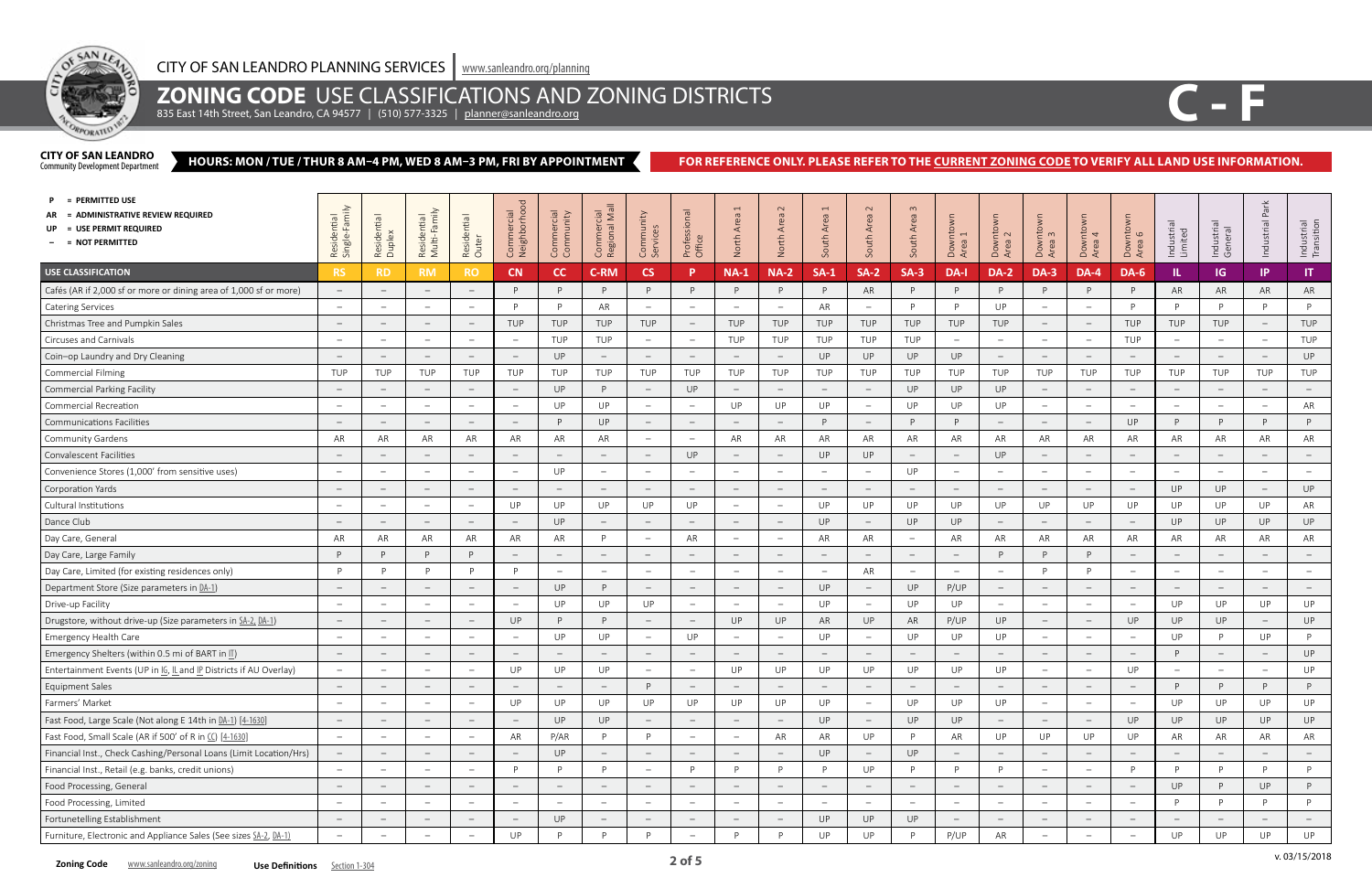

## **ZONING CODE** USE CLASSIFICATIONS AND ZONING DISTRICTS

835 East 14th Street, San Leandro, CA 94577 | (510) 577-3325 | <u>[planner@sanleandro.org](mailto:planner%40sanleandro.org?subject=)</u>

#### **HOURS: MON / TUE / THUR 8 AM–4 PM, WED 8 AM–3 PM, FRI BY APPOINTMENT CITY OF SAN LEANDRO**<br>Community Development Department

### FOR REFERENCE ONLY. PLEASE REFER TO THE **CURRENT ZONING CODE** TO VERIFY ALL LAND USE INFORMATION.

v. 03/15/2018



| = PERMITTED USE<br>= ADMINISTRATIVE REVIEW REQUIRED<br>= USE PERMIT REQUIRED<br>- = NOT PERMITTED | amily<br>Residential<br>Single-Fami<br>ingle | Residential<br>Duplex    | Residential<br>Multi-Family     | Residential<br>Outer            | Commercial<br>Neighborhood      | Commercial<br>Community         | Commercial<br>Regional Mall     | Community<br>Services           | Professional<br>Office          | $\overline{ }$<br>Area<br>North | $\sim$<br>Area<br>North         | $\overline{ }$<br>Area<br>outh  | $\sim$<br>Area<br>South  | $\infty$<br>South Area          | Downtown<br>Area 1              | Downto<br>Area 2<br>Area        | Downtown<br>Area 3              | <b>OWO</b><br>Downto<br>Area 4  | Downtown<br>Area 6              | Industrial<br>Limited           | Industrial<br>General           | Park<br>Industrial              | Industrial<br>Transition        |
|---------------------------------------------------------------------------------------------------|----------------------------------------------|--------------------------|---------------------------------|---------------------------------|---------------------------------|---------------------------------|---------------------------------|---------------------------------|---------------------------------|---------------------------------|---------------------------------|---------------------------------|--------------------------|---------------------------------|---------------------------------|---------------------------------|---------------------------------|---------------------------------|---------------------------------|---------------------------------|---------------------------------|---------------------------------|---------------------------------|
| <b>USE CLASSIFICATION</b>                                                                         | <b>RS</b>                                    | <b>RD</b>                | <b>RM</b>                       | <b>RO</b>                       | CN                              | cc                              | <b>C-RM</b>                     | <b>CS</b>                       | D                               | <b>NA-1</b>                     | <b>NA-2</b>                     | $SA-1$                          | $SA-2$                   | $SA-3$                          | DA-I                            | <b>DA-2</b>                     | <b>DA-3</b>                     | DA-4                            | <b>DA-6</b>                     | IL.                             | IG                              | IP                              | $\mathsf{I}$                    |
| Cafés (AR if 2,000 sf or more or dining area of 1,000 sf or more)                                 | $\hspace{0.1mm}-\hspace{0.1mm}$              | $\overline{\phantom{m}}$ | $\hspace{0.1mm}-\hspace{0.1mm}$ | $-$                             | P                               | P                               | P                               | P                               |                                 | P                               | D                               | P                               | AR                       | P.                              | P                               | D                               | P                               | P                               | P                               | AR                              | AR                              | AR                              | AR                              |
| <b>Catering Services</b>                                                                          | $\sim$                                       | $\overline{\phantom{m}}$ | $\hspace{0.1mm}$                | $\overline{\phantom{m}}$        | <b>D</b>                        | P                               | AR                              | $\overline{\phantom{a}}$        | $\hspace{0.1mm}-\hspace{0.1mm}$ | $\hspace{0.1mm}-\hspace{0.1mm}$ | $\overline{\phantom{a}}$        | AR                              | $\overline{\phantom{a}}$ | D                               | P                               | UP                              | $\overline{\phantom{a}}$        | $\overline{\phantom{m}}$        | <sup>D</sup>                    | D                               | P                               | P                               | P                               |
| Christmas Tree and Pumpkin Sales                                                                  | $\overline{\phantom{a}}$                     | $\overline{\phantom{m}}$ | $\hspace{0.1mm}-\hspace{0.1mm}$ | $\hspace{0.1mm}-\hspace{0.1mm}$ | <b>TUP</b>                      | TUP                             | TUP                             | TUP                             | $\hspace{0.1mm}-\hspace{0.1mm}$ | TUP                             | TUP                             | TUP                             | TUP                      | TUP                             | TUP                             | TUP                             | $\overline{\phantom{m}}$        | $\hspace{0.1mm}-\hspace{0.1mm}$ | TUP                             | TUP                             | TUP                             | $\overline{\phantom{m}}$        | TUP                             |
| Circuses and Carnivals                                                                            | $\hspace{0.1mm}-\hspace{0.1mm}$              | $\overline{\phantom{m}}$ | $\equiv$                        | $-$ .                           | $\hspace{0.1mm}-\hspace{0.1mm}$ | TUP                             | TUP                             | $-$                             | $\hspace{0.1mm}-\hspace{0.1mm}$ | TUP                             | TUP                             | TUP                             | TUP                      | TUP                             | $\overline{\phantom{a}}$        | $\overline{\phantom{a}}$        | $-$ .                           | $\overline{\phantom{m}}$        | <b>TUP</b>                      | $\hspace{0.1mm}-\hspace{0.1mm}$ | $\hspace{0.1mm}-\hspace{0.1mm}$ | $-$ .                           | TUP                             |
| Coin-op Laundry and Dry Cleaning                                                                  | $\hspace{0.1mm}-\hspace{0.1mm}$              | $\overline{\phantom{m}}$ | $\hspace{0.1mm}-\hspace{0.1mm}$ | $\overline{\phantom{m}}$        | $\hspace{0.1mm}-\hspace{0.1mm}$ | UP                              | $\overline{\phantom{a}}$        | $-$                             |                                 | $\hspace{0.1mm}-\hspace{0.1mm}$ | $\hspace{0.1mm}$                | UP                              | UP                       | UP                              | UP                              | $\overline{\phantom{0}}$        | $\overline{\phantom{m}}$        | $\overline{\phantom{m}}$        | $\hspace{0.1mm}-\hspace{0.1mm}$ | $\hspace{0.1mm}-\hspace{0.1mm}$ | $\hspace{0.1mm}$                | $\overline{\phantom{m}}$        | UP                              |
| <b>Commercial Filming</b>                                                                         | TUP                                          | <b>TUP</b>               | TUP                             | TUP                             | TUP                             | TUP                             | TUP                             | TUP                             | <b>TUP</b>                      | TUP                             | TUP                             | TUP                             | TUP                      | TUP                             | TUP                             | TUP                             | TUP                             | TUP                             | TUP                             | TUP                             | TUP                             | TUP                             | TUP                             |
| <b>Commercial Parking Facility</b>                                                                | $\hspace{0.1mm}$                             | $\overline{\phantom{m}}$ | $\hspace{0.1mm}-\hspace{0.1mm}$ | $\qquad \qquad -$               | $\hspace{0.1mm}-\hspace{0.1mm}$ | <b>UP</b>                       | P                               | $ \,$                           | UP                              | $\hspace{0.1mm}-\hspace{0.1mm}$ | $\hspace{0.1mm}-\hspace{0.1mm}$ | $\hspace{0.1mm}$                | $\qquad \qquad -$        | UP                              | UP                              | UP                              | $ \,$                           | $\overline{\phantom{a}}$        | $-$                             | $\hspace{0.1mm}-\hspace{0.1mm}$ | $\hspace{0.1mm}-\hspace{0.1mm}$ | $\overline{\phantom{a}}$        | $\hspace{0.1mm}-\hspace{0.1mm}$ |
| <b>Commercial Recreation</b>                                                                      | $\hspace{0.1mm}-\hspace{0.1mm}$              | $\overline{\phantom{m}}$ | $\hspace{0.1mm}-\hspace{0.1mm}$ | $\overline{\phantom{m}}$        | $\overline{\phantom{m}}$        | UP                              | UP                              | $-$                             |                                 | UP                              | UP                              | UP                              | $-$                      | UP                              | UP                              | UP                              | $\overline{\phantom{m}}$        |                                 | $\overline{\phantom{a}}$        | $\hspace{0.1mm}-\hspace{0.1mm}$ | $\hspace{0.1mm}-\hspace{0.1mm}$ | $\overline{\phantom{0}}$        | AR                              |
| <b>Communications Facilities</b>                                                                  |                                              |                          | $\hspace{0.1mm}$                | $\overline{\phantom{m}}$        |                                 | P                               | UP                              | $-$                             |                                 | $\hspace{0.1mm}-\hspace{0.1mm}$ |                                 | P                               | $-$                      | P                               | P                               |                                 | $\overline{\phantom{m}}$        |                                 | UP                              | P.                              | P                               | P                               | P                               |
| Community Gardens                                                                                 | AR                                           | AR                       | AR                              | AR                              | AR                              | AR                              | AR                              | $\overline{\phantom{m}}$        |                                 | AR                              | AR                              | AR                              | AR                       | AR                              | AR                              | AR                              | AR                              | AR                              | AR                              | AR                              | AR                              | AR                              | AR                              |
| <b>Convalescent Facilities</b>                                                                    | $\hspace{0.1mm}-\hspace{0.1mm}$              | $\overline{\phantom{m}}$ | $\hspace{0.1mm}$                | $\overline{\phantom{m}}$        | $\hspace{0.1mm}-\hspace{0.1mm}$ | $\overline{\phantom{0}}$        | $\overline{\phantom{m}}$        | $ \,$                           | UP                              | $\hspace{0.1mm}-\hspace{0.1mm}$ | $\overline{\phantom{m}}$        | UP                              | UP                       | $\hspace{0.1mm}-\hspace{0.1mm}$ | $\overline{\phantom{0}}$        | UP                              | $\overline{\phantom{m}}$        | $\overline{\phantom{m}}$        | $\overline{\phantom{a}}$        | $\hspace{0.1mm}-\hspace{0.1mm}$ | $\hspace{0.1mm}-\hspace{0.1mm}$ | $\overline{\phantom{0}}$        | $\overline{\phantom{m}}$        |
| Convenience Stores (1,000' from sensitive uses)                                                   | $\overline{\phantom{0}}$                     | $\overline{\phantom{0}}$ | $\overline{\phantom{0}}$        | $\overline{\phantom{a}}$        | $\overline{\phantom{a}}$        | UP                              | $\overline{\phantom{a}}$        | $\overline{\phantom{m}}$        |                                 | $\hspace{0.1mm}-\hspace{0.1mm}$ | $\overline{\phantom{0}}$        | $\overline{\phantom{a}}$        | $\qquad \qquad -$        | UP                              | $\hspace{0.1mm}-\hspace{0.1mm}$ | $\overline{\phantom{0}}$        | $-$                             | $\overline{\phantom{0}}$        | $\overline{\phantom{a}}$        | $\hspace{0.1mm}-\hspace{0.1mm}$ | $\overline{\phantom{0}}$        | $\overline{\phantom{m}}$        | $\overline{\phantom{a}}$        |
| Corporation Yards                                                                                 | $\hspace{0.1mm}$                             | $\overline{\phantom{a}}$ | $\hspace{0.1mm}$                | $\hspace{0.1mm}-\hspace{0.1mm}$ | $\hspace{0.1mm}-\hspace{0.1mm}$ | $\hspace{0.1mm}-\hspace{0.1mm}$ | $\hspace{0.1mm}-\hspace{0.1mm}$ | $\hspace{0.1mm}-\hspace{0.1mm}$ | $\overline{\phantom{a}}$        | $\hspace{0.1mm}-\hspace{0.1mm}$ | $\hspace{0.1mm}-\hspace{0.1mm}$ | $\hspace{0.1mm}$                | $ \,$                    | $\hspace{0.1mm}-\hspace{0.1mm}$ | $\hspace{0.1mm}-\hspace{0.1mm}$ | $\hspace{0.1mm}-\hspace{0.1mm}$ | $\hspace{0.1cm} -$              | $\hspace{0.1mm}-\hspace{0.1mm}$ | $\hspace{0.1mm}-\hspace{0.1mm}$ | UP                              | <b>UP</b>                       | $\hspace{0.1mm}-\hspace{0.1mm}$ | UP                              |
| Cultural Institutions                                                                             | $\hspace{0.1mm}$                             | $\overline{\phantom{a}}$ | $\hspace{0.1mm}-\hspace{0.1mm}$ | $-$                             | UP                              | UP                              | UP                              | UP                              | UP                              | $\hspace{0.1mm}-\hspace{0.1mm}$ | $\hspace{0.1mm}-\hspace{0.1mm}$ | UP                              | UP                       | UP                              | UP                              | UP                              | UP                              | UP                              | UP                              | UP                              | UP                              | UP                              | AR                              |
| Dance Club                                                                                        | $\hspace{0.1mm}-\hspace{0.1mm}$              | $\overline{\phantom{m}}$ | $\hspace{0.1mm}-\hspace{0.1mm}$ | $\overline{\phantom{m}}$        | $\overline{\phantom{a}}$        | UP                              | $\overline{\phantom{a}}$        | $ \,$                           |                                 | $\hspace{0.1mm}-\hspace{0.1mm}$ | $\hspace{0.1mm}-\hspace{0.1mm}$ | UP                              | $ \,$                    | UP                              | UP                              | $\hspace{0.1mm}$                | $\hspace{0.1mm}-\hspace{0.1mm}$ | $\overline{\phantom{m}}$        | $\overline{\phantom{m}}$        | UP                              | UP                              | UP                              | UP                              |
| Day Care, General                                                                                 | AR                                           | AR                       | AR                              | AR                              | AR                              | AR                              | D                               | $ \,$                           | AR                              | $-$                             | $\hspace{0.1mm}-\hspace{0.1mm}$ | AR                              | AR                       | $\overline{\phantom{m}}$        | AR                              | AR                              | AR                              | AR                              | AR                              | AR                              | AR                              | AR                              | AR                              |
| Day Care, Large Family                                                                            | P                                            | D                        | P                               | P                               | $\hspace{0.1mm}-\hspace{0.1mm}$ | $\hspace{0.1mm}-\hspace{0.1mm}$ | $\overline{\phantom{m}}$        | $\overline{\phantom{a}}$        |                                 | $\hspace{0.1mm}-\hspace{0.1mm}$ | $\hspace{0.1mm}-\hspace{0.1mm}$ | $\hspace{0.1mm}-\hspace{0.1mm}$ | $ \,$                    | $\hspace{0.1mm}-\hspace{0.1mm}$ | $\hspace{0.1mm}-\hspace{0.1mm}$ | D                               | P                               |                                 | $\hspace{0.1mm}-\hspace{0.1mm}$ | $\hspace{0.1mm}-\hspace{0.1mm}$ | $\hspace{0.1mm}-\hspace{0.1mm}$ | $ \,$                           | $-$                             |
| Day Care, Limited (for existing residences only)                                                  | P                                            | D                        | P                               | P                               | <b>D</b>                        | $\equiv$                        | $\overline{\phantom{m}}$        | $\overline{\phantom{m}}$        | $\overline{\phantom{0}}$        | $\hspace{0.1mm}$                | $\overline{\phantom{a}}$        | $\hspace{0.1mm}-\hspace{0.1mm}$ | AR                       | $\hspace{0.1mm}-\hspace{0.1mm}$ | $\equiv$                        | $\overline{\phantom{a}}$        | P                               | P                               | $\hspace{0.1mm}-\hspace{0.1mm}$ | $\overline{\phantom{0}}$        | $\overline{\phantom{0}}$        | $\overline{\phantom{a}}$        | $\overline{\phantom{m}}$        |
| Department Store (Size parameters in DA-1)                                                        | $\hspace{0.1mm}$                             | $\qquad \qquad -$        | $\hspace{0.1mm}$                | $\hspace{0.1mm}-\hspace{0.1mm}$ | $\hspace{0.1mm}-\hspace{0.1mm}$ | <b>UP</b>                       | P                               | $\qquad \qquad -$               | $\hspace{0.1mm}-\hspace{0.1mm}$ | $\hspace{0.1mm}-\hspace{0.1mm}$ | $\qquad \qquad -$               | UP                              | $ \,$                    | UP                              | P/UP                            | $\qquad \qquad -$               | $ \,$                           | $\qquad \qquad -$               | $\qquad \qquad -$               | $\hspace{0.1mm}$                | $\qquad \qquad -$               | $\qquad \qquad -$               | $\qquad \qquad -$               |
| Drive-up Facility                                                                                 | $\hspace{0.1mm}-\hspace{0.1mm}$              |                          | $\overline{\phantom{m}}$        | $\overline{\phantom{m}}$        |                                 | UP                              | UP                              | UP                              |                                 | $\hspace{0.1mm}-\hspace{0.1mm}$ | $\overline{\phantom{0}}$        | UP                              | $-$                      | UP                              | UP                              | $\overline{\phantom{m}}$        | $\overline{\phantom{m}}$        | $\overline{\phantom{a}}$        | $\overline{\phantom{a}}$        | UP                              | UP                              | UP                              | UP                              |
| Drugstore, without drive-up (Size parameters in SA-2, DA-1)                                       | $\overline{\phantom{a}}$                     |                          | $\overline{\phantom{m}}$        |                                 | UP                              | P                               | D                               | $\overline{\phantom{m}}$        |                                 | UP                              | UP                              | AR                              | UP                       | AR                              | P/UP                            | UP                              | $\hspace{0.1mm}-\hspace{0.1mm}$ |                                 | UP                              | UP                              | UP                              | $\overline{\phantom{m}}$        | UP                              |
| Emergency Health Care                                                                             | $\overline{\phantom{a}}$                     |                          | $\overline{\phantom{a}}$        |                                 |                                 | UP                              | UP                              | $-$                             | UP                              | $\overline{\phantom{a}}$        |                                 | UP                              | $-$                      | UP                              | UP                              | UP                              | $\overline{\phantom{m}}$        |                                 | $\overline{\phantom{a}}$        | UP                              | D                               | UP                              | P                               |
| Emergency Shelters (within 0.5 mi of BART in II)                                                  | $\hspace{0.1mm}-\hspace{0.1mm}$              |                          | $\hspace{0.1mm}-\hspace{0.1mm}$ | $\hspace{0.1mm}-\hspace{0.1mm}$ | $\hspace{0.1mm}-\hspace{0.1mm}$ | $\hspace{0.1mm}-\hspace{0.1mm}$ | $\overline{\phantom{a}}$        | $\hspace{0.1mm}-\hspace{0.1mm}$ | $\hspace{0.1mm}-\hspace{0.1mm}$ | $\hspace{0.1mm}-\hspace{0.1mm}$ | $\overline{\phantom{m}}$        | $\overline{\phantom{m}}$        | $-$                      | $\hspace{0.1mm}-\hspace{0.1mm}$ | $\hspace{0.1mm}-\hspace{0.1mm}$ | $\qquad \qquad -$               | $ \,$                           | $\hspace{0.1mm}-\hspace{0.1mm}$ | $\hspace{0.1mm}-\hspace{0.1mm}$ |                                 | $\hspace{0.1mm}$                | $\qquad \qquad -$               | UP                              |
| Entertainment Events (UP in IG, IL and IP Districts if AU Overlay)                                | $\overline{\phantom{0}}$                     | $\overline{\phantom{m}}$ | $\overline{\phantom{a}}$        |                                 | UP                              | UP                              | UP                              | $\overline{\phantom{0}}$        |                                 | UP                              | UP                              | UP                              | UP                       | UP                              | <b>UP</b>                       | UP                              | $\overline{\phantom{m}}$        |                                 | UP                              | $\overline{\phantom{m}}$        | $\overline{\phantom{0}}$        | $\overline{\phantom{0}}$        | UP                              |
| <b>Equipment Sales</b>                                                                            | $\hspace{0.1mm}-\hspace{0.1mm}$              |                          | $\overline{\phantom{a}}$        |                                 |                                 |                                 |                                 | P                               |                                 |                                 |                                 |                                 |                          |                                 |                                 |                                 | $\overline{\phantom{a}}$        |                                 |                                 |                                 | D                               |                                 | P                               |
| Farmers' Market                                                                                   | $\overline{\phantom{0}}$                     | $\overline{\phantom{m}}$ | $\hspace{0.1mm}$                | $\overline{\phantom{m}}$        | UP                              | UP                              | UP                              | UP                              | UP                              | UP                              | UP                              | UP                              | $\overline{\phantom{m}}$ | UP                              | UP                              | UP                              | $\hspace{0.1mm}-\hspace{0.1mm}$ | $\overline{\phantom{m}}$        | $\overline{\phantom{m}}$        | UP                              | UP                              | UP                              | UP                              |
| Fast Food, Large Scale (Not along E 14th in DA-1) [4-1630]                                        | $\hspace{0.1mm}-\hspace{0.1mm}$              | $\overline{\phantom{0}}$ | $\equiv$                        | $\overline{\phantom{m}}$        | $\overline{\phantom{a}}$        | UP                              | UP                              | $\overline{\phantom{0}}$        | $-$                             | $\equiv$                        | $\overline{\phantom{m}}$        | UP                              | $-$                      | UP                              | UP                              |                                 | $\equiv$                        |                                 | UP                              | UP                              | UP                              | UP                              | UP                              |
| Fast Food, Small Scale (AR if 500' of R in CC) [4-1630]                                           | $\overline{\phantom{a}}$                     | $\overline{\phantom{0}}$ | $\sim$                          | $-$ .                           | AR                              | P/AR                            | <b>D</b>                        | P                               | $-$                             | $\hspace{0.1mm}-\hspace{0.1mm}$ | AR                              | AR                              | UP                       | <sup>D</sup>                    | AR                              | UP                              | UP                              | <b>UP</b>                       | UP                              | AR                              | AR                              | AR                              | AR                              |
| Financial Inst., Check Cashing/Personal Loans (Limit Location/Hrs)                                | $\equiv$                                     | $\overline{\phantom{m}}$ | $\hspace{0.1mm}-\hspace{0.1mm}$ | $ \,$                           | $\hspace{0.1mm}-\hspace{0.1mm}$ | UP                              | $\overline{\phantom{m}}$        | $\overline{\phantom{m}}$        | $\hspace{0.1mm}-\hspace{0.1mm}$ | $\equiv$                        |                                 | UP                              | $-$                      | UP                              | $\equiv$                        |                                 | $\equiv$                        | $\hspace{0.1mm}-\hspace{0.1mm}$ | $\overline{\phantom{m}}$        | $\hspace{0.1mm}-\hspace{0.1mm}$ | $\hspace{0.1mm}-\hspace{0.1mm}$ | $ \,$                           | $-$                             |
| Financial Inst., Retail (e.g. banks, credit unions)                                               | $\sim$                                       |                          | $\hspace{0.1mm}-\hspace{0.1mm}$ | $\overline{\phantom{m}}$        | D                               | P                               | D                               | $\equiv$                        | D                               | P                               | D                               | P                               | UP                       |                                 | P                               |                                 | $\overline{\phantom{m}}$        |                                 | P                               | D                               | P                               | P                               | P                               |
| Food Processing, General                                                                          | $\hspace{0.1mm}-\hspace{0.1mm}$              | $\overline{\phantom{m}}$ | $\hspace{0.1mm}$                | $\overline{\phantom{m}}$        | $\hspace{0.1mm}-\hspace{0.1mm}$ | $\overline{\phantom{m}}$        | $\overline{\phantom{0}}$        | $-$                             |                                 | $\hspace{0.1mm}-\hspace{0.1mm}$ | $\overline{\phantom{a}}$        | $\overline{\phantom{a}}$        | $-$                      | $\hspace{0.1mm}-\hspace{0.1mm}$ | $\hspace{0.1mm}-\hspace{0.1mm}$ |                                 | $ \,$                           | $\overline{\phantom{a}}$        | $\equiv$                        | UP                              | P                               | UP                              | P                               |
| Food Processing, Limited                                                                          | $\overline{\phantom{0}}$                     |                          | $\equiv$                        | $\overline{\phantom{m}}$        | $\hspace{0.1mm}-\hspace{0.1mm}$ | $\hspace{0.1mm}-\hspace{0.1mm}$ | $\overline{\phantom{0}}$        | $-$                             |                                 | $\equiv$                        | $\overline{\phantom{a}}$        | $\overline{\phantom{0}}$        | $\overline{\phantom{m}}$ | $\overline{\phantom{a}}$        | $\equiv$                        | $\overline{\phantom{m}}$        | $\overline{\phantom{m}}$        |                                 | $\overline{\phantom{a}}$        | P                               | P                               | P                               | P                               |
| Fortunetelling Establishment                                                                      | $\hspace{0.1mm}-\hspace{0.1mm}$              |                          | $\hspace{0.1mm}-\hspace{0.1mm}$ | $-$                             | $\overline{\phantom{a}}$        | UP                              | $\overline{\phantom{m}}$        | $-$                             | $\hspace{0.1mm}-\hspace{0.1mm}$ | $\hspace{0.1mm}-\hspace{0.1mm}$ |                                 | UP                              | UP                       | UP                              | $\overline{\phantom{m}}$        |                                 | $\equiv$                        | $\overline{\phantom{m}}$        | $ \,$                           | $\hspace{0.1mm}-\hspace{0.1mm}$ | $\overline{\phantom{a}}$        | $\qquad \qquad -$               | $\overline{\phantom{m}}$        |
| Furniture, Electronic and Appliance Sales (See sizes SA-2, DA-1)                                  | $\frac{1}{2}$                                |                          | $\overline{\phantom{m}}$        |                                 | UP                              | P                               | P                               | P                               |                                 | P                               | D                               | UP                              | UP                       | <b>D</b>                        | P/UP                            | AR                              | $\qquad -$                      |                                 |                                 | UP                              | UP                              | UP                              | UP                              |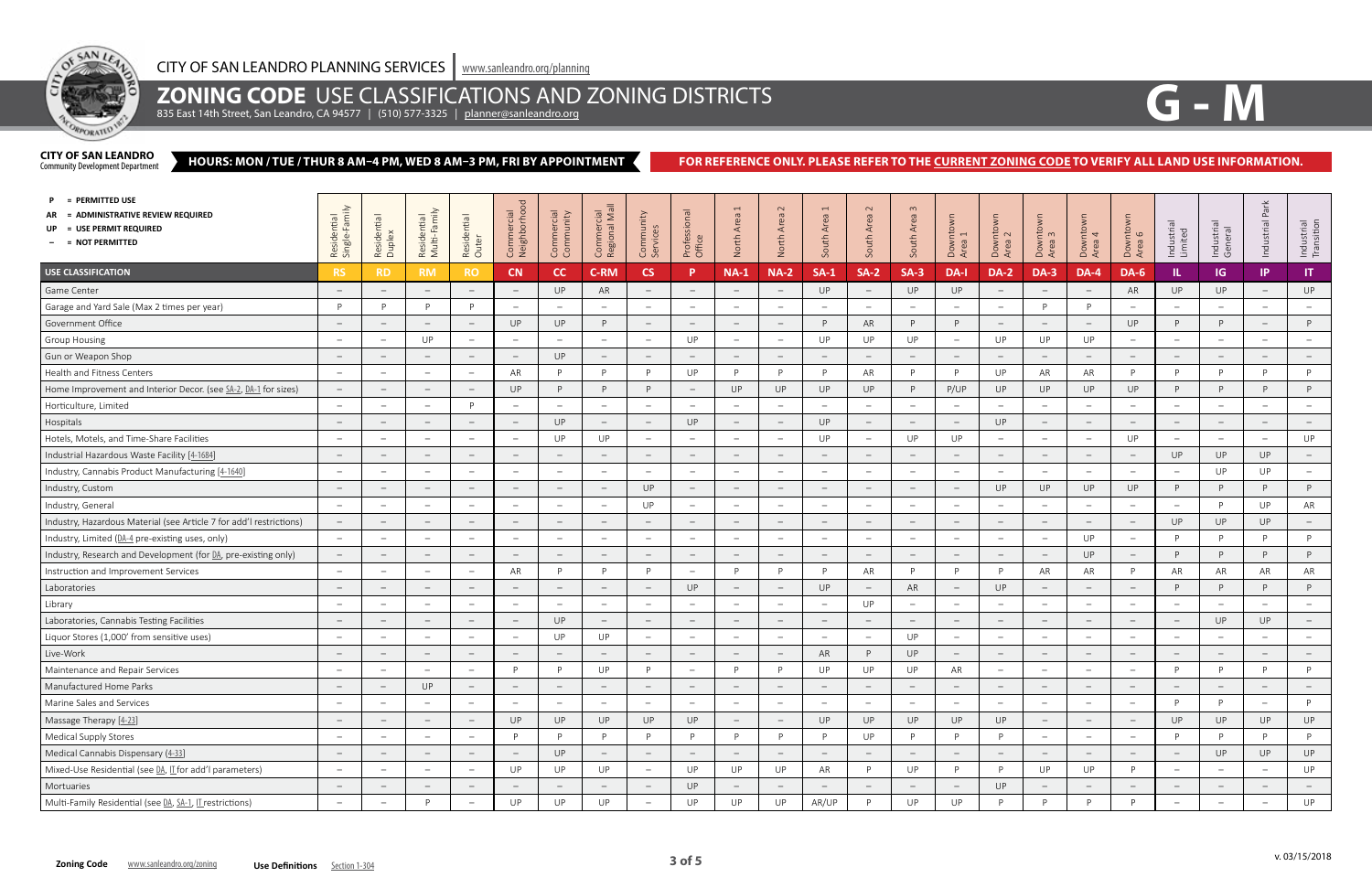

## **ZONING CODE** USE CLASSIFICATIONS AND ZONING DISTRICTS

835 East 14th Street, San Leandro, CA 94577 | (510) 577-3325 | <u>[planner@sanleandro.org](mailto:planner%40sanleandro.org?subject=)</u>

#### **HOURS: MON / TUE / THUR 8 AM–4 PM, WED 8 AM–3 PM, FRI BY APPOINTMENT CITY OF SAN LEANDRO**<br>Community Development Department

### FOR REFERENCE ONLY. PLEASE REFER TO THE **CURRENT ZONING CODE** TO VERIFY ALL LAND USE INFORMATION.



| = PERMITTED USE<br>= ADMINISTRATIVE REVIEW REQUIRED<br>= USE PERMIT REQUIRED<br>$-$ = NOT PERMITTED | min<br>Residential<br>Single-Famil | Residential<br>Duplex           | Residential<br>Multi-Family     | Residential<br>Outer            | Commercial<br>Neighborhood      | Commercial<br>Community         | Commercial<br>Regional Mall     | Community<br>Services           | Professional<br>Office          | $\overline{ }$<br>Area<br>North | $\sim$<br>Area<br>North         | $\overline{ }$<br>Area<br>South | $\sim$<br>Area<br>South         | $\omega$<br>South Area          | Downtown<br>Area 1              | Downtown<br>Area 2              | Downtown<br>Area 3              | intown <sub>1</sub> 4<br>Down<br>Area | Downtown<br>Area 6              | Industrial<br>Limited           | Industrial<br>General           | Park<br>Industrial              | Industrial<br>Transition        |
|-----------------------------------------------------------------------------------------------------|------------------------------------|---------------------------------|---------------------------------|---------------------------------|---------------------------------|---------------------------------|---------------------------------|---------------------------------|---------------------------------|---------------------------------|---------------------------------|---------------------------------|---------------------------------|---------------------------------|---------------------------------|---------------------------------|---------------------------------|---------------------------------------|---------------------------------|---------------------------------|---------------------------------|---------------------------------|---------------------------------|
| <b>USE CLASSIFICATION</b>                                                                           | <b>RS</b>                          | <b>RD</b>                       | <b>RM</b>                       | <b>RO</b>                       | CN                              | cc                              | <b>C-RM</b>                     | <b>CS</b>                       | P                               | <b>NA-1</b>                     | $NA-2$                          | $SA-1$                          | $SA-2$                          | $SA-3$                          | DA-I                            | <b>DA-2</b>                     | <b>DA-3</b>                     | <b>DA-4</b>                           | <b>DA-6</b>                     | IL.                             | <b>IG</b>                       | IP                              | IT                              |
| Game Center                                                                                         | $\hspace{0.1mm}-\hspace{0.1mm}$    | $\hspace{0.1mm}-\hspace{0.1mm}$ | $\hspace{0.1mm}$                | $\hspace{0.1mm}-\hspace{0.1mm}$ | $\hspace{0.1mm}-\hspace{0.1mm}$ | UP                              | AR                              | $\hspace{0.1mm}-\hspace{0.1mm}$ |                                 | $\hspace{0.1mm}-\hspace{0.1mm}$ | $\overline{\phantom{a}}$        | UP                              | $\qquad \qquad -$               | UP                              | UP                              |                                 | $\hspace{0.1mm}-\hspace{0.1mm}$ | $\qquad \qquad -$                     | AR                              | UP                              | UP                              | $\qquad \qquad -$               | UP                              |
| Garage and Yard Sale (Max 2 times per year)                                                         | P                                  | D                               | P                               | P                               |                                 | $\overline{\phantom{0}}$        | $\overline{\phantom{m}}$        | $-$                             |                                 | $\hspace{0.1mm}-\hspace{0.1mm}$ | $\qquad \qquad -$               | $\overline{\phantom{0}}$        | $\hspace{0.1mm}-\hspace{0.1mm}$ |                                 | $\hspace{0.1mm}-\hspace{0.1mm}$ |                                 | P                               | D                                     |                                 |                                 | $\overline{\phantom{a}}$        | $\overline{\phantom{0}}$        |                                 |
| Government Office                                                                                   |                                    |                                 | $\overline{\phantom{a}}$        | $\overline{\phantom{m}}$        | UP                              | UP                              | D                               | $\overline{\phantom{m}}$        |                                 | $\hspace{0.1mm}-\hspace{0.1mm}$ |                                 | D                               | AR                              | P                               | P                               |                                 | $-$                             |                                       | UP                              | D                               | P                               |                                 | P                               |
| <b>Group Housing</b>                                                                                | $\overline{\phantom{0}}$           |                                 | UP                              | $-$                             |                                 | $\hspace{0.1mm}-\hspace{0.1mm}$ | $\overline{\phantom{m}}$        | $\overline{\phantom{m}}$        | UP                              | $\hspace{0.1mm}-\hspace{0.1mm}$ |                                 | UP                              | UP                              | UP                              | $\hspace{0.1mm}-\hspace{0.1mm}$ | UP                              | UP                              | UP                                    | $\overline{\phantom{a}}$        |                                 | $\overline{\phantom{a}}$        | $\overline{\phantom{0}}$        | $\overline{\phantom{m}}$        |
| Gun or Weapon Shop                                                                                  | $\hspace{0.1mm}-\hspace{0.1mm}$    |                                 | $\hspace{0.1mm}-\hspace{0.1mm}$ | $\hspace{0.1mm}-\hspace{0.1mm}$ | $\hspace{0.1mm}-\hspace{0.1mm}$ | UP                              | $\overline{\phantom{m}}$        | $\hspace{0.1mm}-\hspace{0.1mm}$ |                                 | $\hspace{0.1mm}-\hspace{0.1mm}$ | $\overline{\phantom{0}}$        | $\overline{\phantom{m}}$        | $\hspace{0.1mm}-\hspace{0.1mm}$ | $\hspace{0.1mm}-\hspace{0.1mm}$ | $\hspace{0.1mm}-\hspace{0.1mm}$ |                                 | $\hspace{0.1mm}-\hspace{0.1mm}$ | $\hspace{0.1mm}-\hspace{0.1mm}$       | $\hspace{0.1mm}-\hspace{0.1mm}$ |                                 | $\hspace{0.1mm}-\hspace{0.1mm}$ | $-$                             | $\hspace{0.1mm}$                |
| Health and Fitness Centers                                                                          | $\hspace{0.1mm}-\hspace{0.1mm}$    | $\overline{\phantom{m}}$        | $\hspace{0.1mm}-\hspace{0.1mm}$ | $\overline{\phantom{0}}$        | AR                              | P                               | D                               | P                               | UP                              | P                               | P                               | P                               | AR                              | D                               | P                               | UP                              | AR                              | AR                                    | P.                              | D                               | P                               | D                               | P                               |
| Home Improvement and Interior Decor. (see SA-2, DA-1 for sizes)                                     | $\hspace{0.1mm}-\hspace{0.1mm}$    | $\overline{\phantom{m}}$        | $\hspace{0.1mm}$                | $\overline{\phantom{a}}$        | UP                              | P                               | D                               | P                               |                                 | UP                              | UP                              | UP                              | UP                              | P                               | P/UP                            | UP                              | UP                              | UP                                    | UP                              |                                 | P                               | D                               | P                               |
| Horticulture, Limited                                                                               | $\overline{\phantom{0}}$           | $\overline{\phantom{m}}$        | $\overline{\phantom{a}}$        | P                               | $\hspace{0.1mm}-\hspace{0.1mm}$ | $\sim$                          | $\overline{\phantom{a}}$        | $\overline{\phantom{a}}$        | $\overline{\phantom{0}}$        | $\hspace{0.1mm}-\hspace{0.1mm}$ | $\overline{\phantom{a}}$        | $\hspace{0.1mm}-\hspace{0.1mm}$ | $\overline{\phantom{a}}$        | $\overline{\phantom{a}}$        | $\overline{\phantom{m}}$        | $\hspace{0.1mm}-\hspace{0.1mm}$ | $\sim$                          | $\overline{\phantom{m}}$              | $\overline{\phantom{m}}$        | $\hspace{0.1mm}-\hspace{0.1mm}$ | $\hspace{0.1mm}-\hspace{0.1mm}$ | $\overline{\phantom{m}}$        | $\overline{\phantom{a}}$        |
| Hospitals                                                                                           | $\hspace{0.1mm}-\hspace{0.1mm}$    | $\overline{\phantom{m}}$        | $\hspace{0.1mm}-\hspace{0.1mm}$ | $\overline{\phantom{m}}$        | $\hspace{0.1mm}-\hspace{0.1mm}$ | <b>UP</b>                       | $\overline{\phantom{m}}$        | $ \,$                           | UP                              | $\hspace{0.1mm}-\hspace{0.1mm}$ | $\hspace{0.1mm}-\hspace{0.1mm}$ | UP                              | $ \,$                           | $\hspace{0.1mm}-\hspace{0.1mm}$ | $\hspace{0.1mm}-\hspace{0.1mm}$ | UP                              | $ \,$                           | $\hspace{0.1mm}-\hspace{0.1mm}$       | $\overline{\phantom{m}}$        | $\hspace{0.1mm}-\hspace{0.1mm}$ | $\hspace{0.1mm}-\hspace{0.1mm}$ | $\hspace{0.1mm}-\hspace{0.1mm}$ | $\hspace{0.1mm}-\hspace{0.1mm}$ |
| Hotels, Motels, and Time-Share Facilities                                                           | $\overline{\phantom{a}}$           | $\overline{\phantom{m}}$        | $\hspace{0.1mm}-\hspace{0.1mm}$ | $ \,$                           | $\hspace{0.1mm}-\hspace{0.1mm}$ | UP                              | UP                              | $ \,$                           |                                 | $\hspace{0.1mm}-\hspace{0.1mm}$ | $\overline{\phantom{m}}$        | UP                              | $\overline{\phantom{m}}$        | UP                              | UP                              | $\overline{\phantom{a}}$        | $\overline{\phantom{m}}$        | $\overline{\phantom{a}}$              | UP                              | $\overline{\phantom{a}}$        | $\hspace{0.1mm}-\hspace{0.1mm}$ | $\overline{\phantom{m}}$        | UP                              |
| Industrial Hazardous Waste Facility [4-1684]                                                        | $\hspace{0.1mm}-\hspace{0.1mm}$    | $\overline{\phantom{a}}$        | $\hspace{0.1mm}-\hspace{0.1mm}$ | $\overline{\phantom{m}}$        | $\hspace{0.1mm}-\hspace{0.1mm}$ | $\hspace{0.1mm}-\hspace{0.1mm}$ | $\overline{\phantom{m}}$        | $\hspace{0.1mm}-\hspace{0.1mm}$ |                                 | $\hspace{0.1mm}-\hspace{0.1mm}$ | $\hspace{0.1mm}-\hspace{0.1mm}$ | $\overline{\phantom{0}}$        | $ \,$                           | $\hspace{0.1mm}-\hspace{0.1mm}$ | $\hspace{0.1mm}-\hspace{0.1mm}$ | $\overline{\phantom{a}}$        | $ \,$                           | $\qquad \qquad -$                     | $\hspace{0.1mm}-\hspace{0.1mm}$ | <b>UP</b>                       | UP                              | UP                              | $\hspace{0.1mm}-\hspace{0.1mm}$ |
| Industry, Cannabis Product Manufacturing [4-1640]                                                   | $\hspace{0.1mm}-\hspace{0.1mm}$    | $\overline{\phantom{m}}$        | $\hspace{0.1mm}-\hspace{0.1mm}$ | $\overline{\phantom{m}}$        |                                 | $\overline{\phantom{0}}$        | $\qquad \qquad -$               | $\overline{\phantom{a}}$        |                                 | $\hspace{0.1mm}$                | $\overline{\phantom{m}}$        | $\overline{\phantom{m}}$        | $\overline{\phantom{a}}$        |                                 | $-$                             |                                 | $-$ .                           | $\overline{\phantom{m}}$              | $\hspace{0.1mm}-\hspace{0.1mm}$ | $\overline{\phantom{a}}$        | UP                              | <b>UP</b>                       | $\overline{\phantom{m}}$        |
| Industry, Custom                                                                                    | $\hspace{0.1mm}$                   | $\overline{\phantom{m}}$        | $\hspace{0.1mm}-\hspace{0.1mm}$ | $\qquad \qquad -$               |                                 | $\hspace{0.1mm}-\hspace{0.1mm}$ | $\overline{\phantom{m}}$        | UP                              |                                 | $\hspace{0.1mm}-\hspace{0.1mm}$ | $\overline{\phantom{a}}$        | $\qquad \qquad -$               | $\hspace{0.1mm}-\hspace{0.1mm}$ | $\hspace{0.1mm}-\hspace{0.1mm}$ | $\hspace{0.1mm}-\hspace{0.1mm}$ | UP                              | UP                              | UP                                    | UP                              | D                               | P                               | P                               | P                               |
| Industry, General                                                                                   | $\hspace{0.1mm}-\hspace{0.1mm}$    |                                 | $\overline{\phantom{a}}$        | $-$                             | $\overline{\phantom{a}}$        | $\hspace{0.1mm}-\hspace{0.1mm}$ | $\overline{\phantom{m}}$        | UP                              |                                 | $\hspace{0.1mm}-\hspace{0.1mm}$ | $\overline{\phantom{m}}$        | $\overline{\phantom{a}}$        | $\overline{\phantom{a}}$        | $\overline{\phantom{a}}$        | $-$                             |                                 | $-$                             | $\overline{\phantom{a}}$              | $\overline{\phantom{a}}$        |                                 | P                               | UP                              | AR                              |
| Industry, Hazardous Material (see Article 7 for add'l restrictions)                                 | $\hspace{0.1mm}-\hspace{0.1mm}$    |                                 | $\hspace{0.1mm}-\hspace{0.1mm}$ | $-$                             |                                 | $\hspace{0.1mm}-\hspace{0.1mm}$ |                                 | $\hspace{0.1mm}-\hspace{0.1mm}$ |                                 | $\overline{\phantom{a}}$        |                                 |                                 | $\overline{\phantom{m}}$        |                                 | $ \,$                           |                                 | $\overline{\phantom{m}}$        | $\overline{\phantom{a}}$              | $\overline{\phantom{m}}$        | <b>UP</b>                       | UP                              | UP                              | $ \,$                           |
| Industry, Limited (DA-4 pre-existing uses, only)                                                    | $\overline{\phantom{a}}$           |                                 | $\overline{\phantom{a}}$        | $\overline{\phantom{m}}$        |                                 | $\hspace{0.1mm}-\hspace{0.1mm}$ |                                 | $\overline{\phantom{0}}$        |                                 | $\hspace{0.1mm}-\hspace{0.1mm}$ |                                 |                                 | $\overline{\phantom{a}}$        |                                 | $\hspace{0.1mm}-\hspace{0.1mm}$ |                                 | $\overline{\phantom{m}}$        | UP                                    | $\overline{\phantom{a}}$        | D                               | P                               | D                               | P                               |
| Industry, Research and Development (for DA, pre-existing only)                                      | $\hspace{0.1mm}-\hspace{0.1mm}$    | $\overline{\phantom{m}}$        | $\hspace{0.1mm}-\hspace{0.1mm}$ | $\overline{\phantom{m}}$        |                                 | $\hspace{0.1mm}-\hspace{0.1mm}$ | $\overline{\phantom{m}}$        | $-$                             |                                 | $\equiv$                        | $\overline{\phantom{m}}$        | $\overline{\phantom{m}}$        | $\hspace{0.1mm}-\hspace{0.1mm}$ |                                 | $\equiv$                        |                                 | $\equiv$                        | UP                                    | $\hspace{0.1mm}-\hspace{0.1mm}$ | <sup>D</sup>                    | P                               | <b>D</b>                        | P                               |
| Instruction and Improvement Services                                                                | $\overline{\phantom{0}}$           | $\overline{\phantom{m}}$        | $\overline{\phantom{a}}$        | $\overline{\phantom{m}}$        | AR                              | P                               | D                               | P                               | $\overline{\phantom{a}}$        | P                               | D                               | P                               | AR                              | <b>D</b>                        | P                               | D                               | AR                              | AR                                    | P                               | AR                              | AR                              | AR                              | AR                              |
| Laboratories                                                                                        | $\hspace{0.1mm}-\hspace{0.1mm}$    | $\qquad \qquad -$               | $\hspace{0.1mm}$                | $\overline{\phantom{0}}$        | $\hspace{0.1mm}-\hspace{0.1mm}$ | $\hspace{0.1mm}-\hspace{0.1mm}$ | $\overline{\phantom{m}}$        | $\hspace{0.1mm}-\hspace{0.1mm}$ | UP                              | $\hspace{0.1mm}-\hspace{0.1mm}$ | $\overline{\phantom{a}}$        | UP                              | $\hspace{0.1mm}-\hspace{0.1mm}$ | AR                              | $\overline{\phantom{m}}$        | UP                              | $\overline{\phantom{a}}$        | $\hspace{0.1mm}-\hspace{0.1mm}$       | $\overline{\phantom{m}}$        |                                 | P                               | P                               | P                               |
| Library                                                                                             | $\hspace{0.1mm}-\hspace{0.1mm}$    | $\overline{\phantom{a}}$        | $\hspace{0.1mm}-\hspace{0.1mm}$ | $-$                             | $\hspace{0.1mm}-\hspace{0.1mm}$ | $\sim$                          | $\overline{\phantom{m}}$        | $\overline{\phantom{a}}$        | $\overline{\phantom{a}}$        | $\equiv$                        | $\hspace{0.1mm}-\hspace{0.1mm}$ | $\overline{\phantom{a}}$        | UP                              | $\overline{\phantom{m}}$        | $\equiv$                        | $\overline{\phantom{a}}$        | $\sim$                          | $\overline{\phantom{a}}$              | $\overline{\phantom{m}}$        | $\hspace{0.1mm}-\hspace{0.1mm}$ | $\hspace{0.1mm}-\hspace{0.1mm}$ | $\overline{\phantom{m}}$        | $\overline{\phantom{m}}$        |
| Laboratories, Cannabis Testing Facilities                                                           | $\hspace{0.1mm}-\hspace{0.1mm}$    | $\overline{\phantom{m}}$        | $\hspace{0.1mm}-\hspace{0.1mm}$ | $-$                             | $\hspace{0.1mm}-\hspace{0.1mm}$ | UP                              | $\hspace{0.1mm}-\hspace{0.1mm}$ | $ \,$                           | $\hspace{0.1mm}-\hspace{0.1mm}$ | $\hspace{0.1mm}-\hspace{0.1mm}$ | $\overline{\phantom{0}}$        | $\hspace{0.1mm}-\hspace{0.1mm}$ | $ \,$                           | $\hspace{0.1mm}-\hspace{0.1mm}$ | $\overline{\phantom{m}}$        | $\overline{\phantom{a}}$        | $\hspace{0.1mm}-\hspace{0.1mm}$ | $\hspace{0.1mm}-\hspace{0.1mm}$       | $\hspace{0.1mm}-\hspace{0.1mm}$ | $\hspace{0.1mm}-\hspace{0.1mm}$ | UP                              | <b>UP</b>                       | $\hspace{0.1mm}-\hspace{0.1mm}$ |
| Liquor Stores (1,000' from sensitive uses)                                                          | $\hspace{0.1mm}-\hspace{0.1mm}$    | $\overline{\phantom{m}}$        | $\overline{\phantom{m}}$        | $-$                             | $\hspace{0.1mm}-\hspace{0.1mm}$ | UP                              | UP                              | $ \,$                           | $\overline{\phantom{m}}$        | $-$                             | $\hspace{0.1mm}-\hspace{0.1mm}$ | $\overline{\phantom{a}}$        | $ \,$                           | UP                              | $\overline{\phantom{m}}$        | $\hspace{0.1mm}-\hspace{0.1mm}$ | $-$                             | $\overline{\phantom{m}}$              | $\overline{\phantom{m}}$        | $\hspace{0.1mm}-\hspace{0.1mm}$ | $\hspace{0.1mm}-\hspace{0.1mm}$ | $\overline{\phantom{m}}$        | $\overline{\phantom{m}}$        |
| Live-Work                                                                                           | $\hspace{0.1mm}-\hspace{0.1mm}$    | $\overline{\phantom{m}}$        | $\hspace{0.1mm}-\hspace{0.1mm}$ | $-$                             | $\hspace{0.1mm}-\hspace{0.1mm}$ | $\hspace{0.1mm}-\hspace{0.1mm}$ | $\overline{\phantom{m}}$        | $ \,$                           |                                 | $\hspace{0.1mm}-\hspace{0.1mm}$ | $\hspace{0.1mm}-\hspace{0.1mm}$ | AR                              | P                               | UP                              | $\overline{\phantom{a}}$        | $\overline{\phantom{m}}$        | $ \,$                           | $\overline{\phantom{m}}$              | $\overline{\phantom{m}}$        |                                 | $\hspace{0.1mm}-\hspace{0.1mm}$ | $\overline{\phantom{m}}$        | $\qquad \qquad -$               |
| Maintenance and Repair Services                                                                     | $\hspace{0.1mm}-\hspace{0.1mm}$    |                                 | $\overline{\phantom{a}}$        | $\overline{\phantom{a}}$        | <sup>D</sup>                    | <b>D</b>                        | UP                              | P                               |                                 | P                               | D                               | UP                              | UP                              | UP                              | AR                              | $\overline{\phantom{m}}$        | $\overline{\phantom{m}}$        | $\overline{\phantom{0}}$              |                                 |                                 | P                               | D                               | P                               |
| Manufactured Home Parks                                                                             |                                    |                                 | UP                              |                                 |                                 |                                 |                                 |                                 |                                 |                                 |                                 |                                 |                                 |                                 |                                 |                                 | $\overline{\phantom{0}}$        |                                       |                                 |                                 |                                 |                                 |                                 |
| Marine Sales and Services                                                                           | $\hspace{0.1mm}-\hspace{0.1mm}$    |                                 | $\overline{\phantom{a}}$        | $\overline{\phantom{m}}$        | $\overline{\phantom{a}}$        | $\qquad -$                      | $\overline{\phantom{0}}$        | $\qquad \qquad -$               |                                 | $\hspace{0.1mm}-\hspace{0.1mm}$ | $\overline{\phantom{m}}$        | $\overline{\phantom{a}}$        | $\qquad \qquad -$               | $\overline{\phantom{m}}$        | $\qquad \qquad -$               | $\overline{\phantom{a}}$        | $\qquad \qquad -$               | $\overline{\phantom{m}}$              | $\overline{\phantom{m}}$        | P.                              | P                               |                                 | P                               |
| Massage Therapy [4-23]                                                                              |                                    |                                 |                                 | $\overline{\phantom{m}}$        | UP                              | UP                              | UP                              | UP                              | UP                              | $\hspace{0.1mm}-\hspace{0.1mm}$ |                                 | UP                              | UP                              | UP                              | UP                              | UP                              | $-$                             |                                       | $\hspace{0.1mm}-\hspace{0.1mm}$ | UP                              | UP                              | UP                              | UP                              |
| Medical Supply Stores                                                                               | $\hspace{0.1mm}-\hspace{0.1mm}$    | $\overline{\phantom{0}}$        | $\qquad \qquad -$               | $\equiv$                        | D                               | P                               | <b>D</b>                        | P                               |                                 | P                               | P                               | P                               | UP                              |                                 | P                               | P                               | $\overline{\phantom{m}}$        | $\overline{\phantom{m}}$              | $\overline{\phantom{m}}$        | <b>D</b>                        | P                               | D                               | P                               |
| Medical Cannabis Dispensary (4-33)                                                                  | $\hspace{0.1mm}-\hspace{0.1mm}$    | $\overline{\phantom{0}}$        | $\hspace{0.1mm}-\hspace{0.1mm}$ | $\overline{\phantom{m}}$        | $\hspace{0.1mm}-\hspace{0.1mm}$ | UP                              | $\overline{\phantom{m}}$        | $-$                             |                                 | $\hspace{0.1mm}-\hspace{0.1mm}$ | $\overline{\phantom{a}}$        | $\overline{\phantom{0}}$        | $\hspace{0.1mm}-\hspace{0.1mm}$ |                                 | $\overline{\phantom{0}}$        |                                 | $ \,$                           | $\overline{\phantom{m}}$              | $\hspace{0.1mm}-\hspace{0.1mm}$ |                                 | UP                              | UP                              | UP                              |
| Mixed-Use Residential (see DA, II for add'l parameters)                                             | $\sim$                             | $\overline{\phantom{0}}$        | $\qquad \qquad -$               | $\overline{\phantom{a}}$        | UP                              | UP                              | UP                              | $\equiv$                        | <b>UP</b>                       | UP                              | UP                              | AR                              | P                               | UP                              | P                               | D                               | UP                              | UP                                    | P                               | $\overline{\phantom{0}}$        | $\equiv$                        | $\overline{\phantom{m}}$        | UP                              |
| Mortuaries                                                                                          | $\hspace{0.1mm}-\hspace{0.1mm}$    | $\overline{\phantom{m}}$        | $\hspace{0.1mm}$                | $ \,$                           | $\hspace{0.1mm}-\hspace{0.1mm}$ | $\hspace{0.1mm}-\hspace{0.1mm}$ | $\hspace{0.1mm}-\hspace{0.1mm}$ | $\equiv$                        | UP                              | $\overline{\phantom{m}}$        | $\overline{\phantom{m}}$        | $-$                             | $\equiv$                        | $\overline{\phantom{a}}$        | $\overline{\phantom{m}}$        | UP                              | $ \,$                           | $\hspace{0.1mm}-\hspace{0.1mm}$       | $\overline{\phantom{m}}$        | $\hspace{0.1mm}-\hspace{0.1mm}$ | $\sim$                          | $-$                             | $\sim$                          |
| Multi-Family Residential (see DA, SA-1, II restrictions)                                            | $\sim$                             | $\overline{\phantom{0}}$        | P                               | $ \,$                           | UP                              | UP                              | UP                              | $\sim$                          | UP                              | UP                              | UP                              | AR/UP                           | P                               | UP                              | UP                              | P                               | P                               | P                                     | D                               | $\hspace{0.1mm}-\hspace{0.1mm}$ | $\sim$                          | $-$ .                           | UP                              |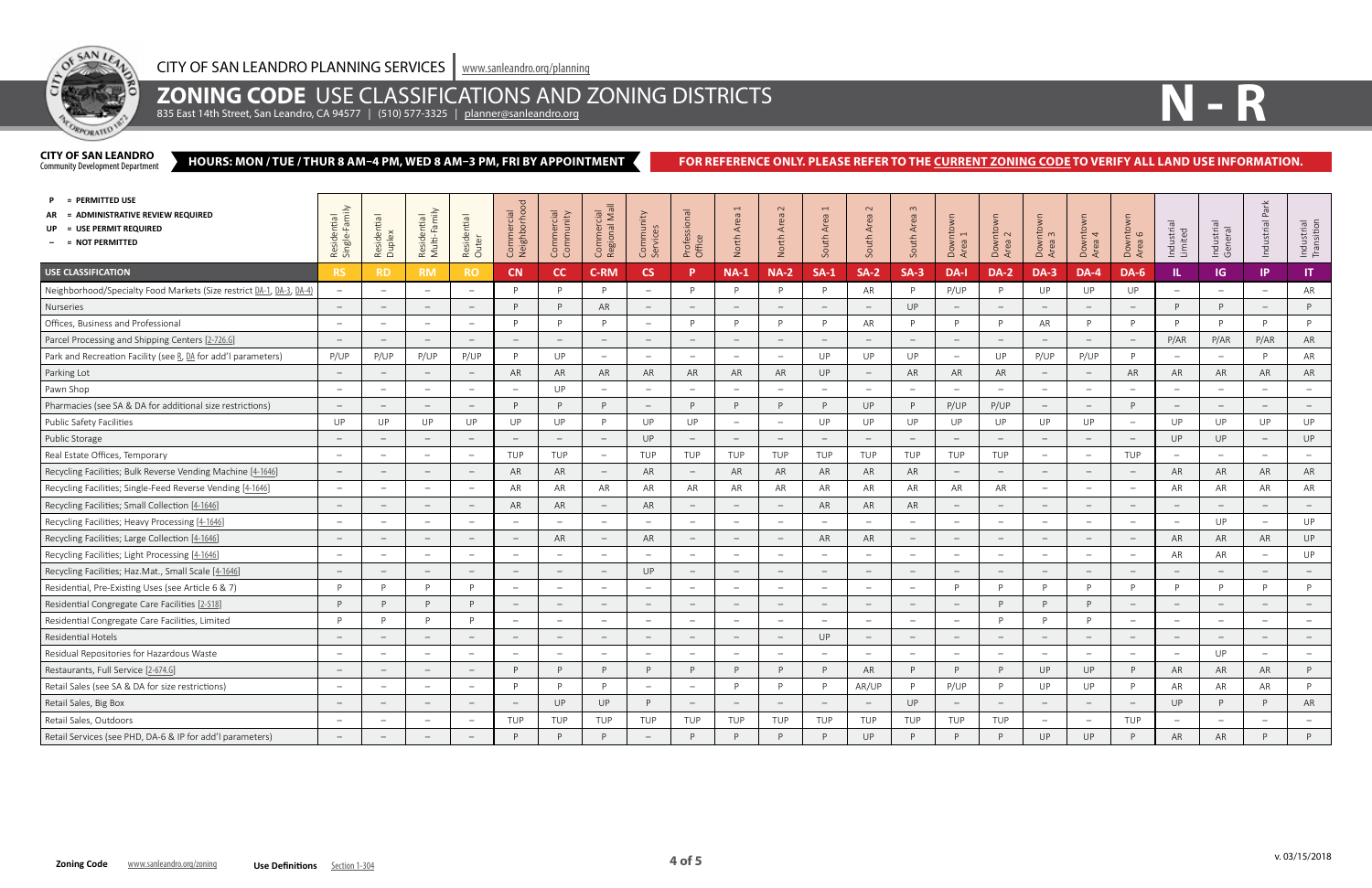

## **ZONING CODE** USE CLASSIFICATIONS AND ZONING DISTRICTS

835 East 14th Street, San Leandro, CA 94577 | (510) 577-3325 | <u>[planner@sanleandro.org](mailto:planner%40sanleandro.org?subject=)</u>

#### **HOURS: MON / TUE / THUR 8 AM–4 PM, WED 8 AM–3 PM, FRI BY APPOINTMENT CITY OF SAN LEANDRO**<br>Community Development Department

### FOR REFERENCE ONLY. PLEASE REFER TO THE **CURRENT ZONING CODE** TO VERIFY ALL LAND USE INFORMATION.



| = PERMITTED USE<br>= ADMINISTRATIVE REVIEW REQUIRED<br>= USE PERMIT REQUIRED<br>$-$ = NOT PERMITTED | min<br>Residential<br>Single-Fami | Residential<br>Duplex           | Residential<br>Multi-Family     | Residential<br>Outer     | Commercial<br>Neighborhoc       | Commercial<br>Community         | Commercial<br>Regional Mall     | Community<br>Services           | Professional<br>Office   | $\overline{ }$<br>Area<br>North | $\sim$<br>Area<br>North         | $\overline{ }$<br>Area<br>South   | $\sim$<br>Area<br>South         | $\omega$<br>Area<br>South       | Downtown<br>Area 1              | $intown1$<br>$2$<br>Area<br>Dow | Downtown<br>Area 3              | intown <sub>1</sub><br>Down<br>Area | ntown<br>16<br>Dowr<br>Area     | Industrial<br>Limited    | Industrial<br>General           | Æ<br>Industrial          | Industrial<br>Transition        |
|-----------------------------------------------------------------------------------------------------|-----------------------------------|---------------------------------|---------------------------------|--------------------------|---------------------------------|---------------------------------|---------------------------------|---------------------------------|--------------------------|---------------------------------|---------------------------------|-----------------------------------|---------------------------------|---------------------------------|---------------------------------|---------------------------------|---------------------------------|-------------------------------------|---------------------------------|--------------------------|---------------------------------|--------------------------|---------------------------------|
| <b>USE CLASSIFICATION</b>                                                                           | <b>RS</b>                         | <b>RD</b>                       | <b>RM</b>                       | <b>RO</b>                | CN                              | cc                              | <b>C-RM</b>                     | <b>CS</b>                       |                          | $NA-1$                          | <b>NA-2</b>                     | $SA-1$                            | $SA-2$                          | $SA-3$                          | DA-I                            | <b>DA-2</b>                     | <b>DA-3</b>                     | <b>DA-4</b>                         | <b>DA-6</b>                     | IL                       | IG                              | IP                       | IT.                             |
| Neighborhood/Specialty Food Markets (Size restrict DA-1, DA-3, DA-4)                                | $\hspace{0.1mm}-\hspace{0.1mm}$   | $\overline{\phantom{a}}$        | $\overline{\phantom{0}}$        | $\overline{\phantom{a}}$ |                                 | P                               | D                               | $\equiv$                        |                          | P                               | D                               | D                                 | AR                              | P                               | P/UP                            | <sup>D</sup>                    | UP                              | UP                                  | UP                              |                          | $\overline{\phantom{0}}$        |                          | AR                              |
| Nurseries                                                                                           | $\overline{\phantom{a}}$          | $\hspace{0.1mm}-\hspace{0.1mm}$ | $\overline{\phantom{a}}$        | $\equiv$                 | P                               | P                               | AR                              | $\equiv$                        | $\overline{\phantom{a}}$ | $\equiv$                        | $\hspace{0.1mm}-\hspace{0.1mm}$ | $\hspace{0.1mm}-\hspace{0.1mm}$   | $\overline{\phantom{m}}$        | UP                              | $\equiv$                        | $\overline{\phantom{0}}$        | $\overline{\phantom{0}}$        | $\overline{\phantom{a}}$            | $\equiv$                        | <b>D</b>                 | P                               | $\overline{\phantom{a}}$ | P                               |
| Offices, Business and Professional                                                                  | $\overline{\phantom{a}}$          | $\overline{\phantom{a}}$        | $\overline{\phantom{m}}$        | $\equiv$                 | D                               | P                               | <b>D</b>                        | $\equiv$                        | P                        | P                               | <b>D</b>                        | P                                 | AR                              | P                               | P                               | <b>P</b>                        | AR                              | P                                   | P                               |                          | P                               | <b>D</b>                 | P                               |
| Parcel Processing and Shipping Centers [2-726.G]                                                    | $\overline{\phantom{a}}$          |                                 | $\hspace{0.1mm}$                | $\overline{\phantom{m}}$ |                                 | $\equiv$                        |                                 | $\overline{\phantom{m}}$        |                          | $\hspace{0.1mm}-\hspace{0.1mm}$ |                                 |                                   | $\overline{\phantom{m}}$        | $\hspace{0.1mm}-\hspace{0.1mm}$ | $\hspace{0.1mm}-\hspace{0.1mm}$ |                                 | $\hspace{0.1mm}-\hspace{0.1mm}$ | $\overline{\phantom{m}}$            | $\equiv$                        | P/AR                     | P/AR                            | P/AR                     | AR                              |
| Park and Recreation Facility (see R, DA for add'l parameters)                                       | P/UP                              | P/UP                            | P/UP                            | P/UP                     | P                               | UP                              | $\equiv$                        | $\overline{\phantom{a}}$        | $\overline{\phantom{m}}$ | $\overline{\phantom{m}}$        | $ \,$                           | UP                                | UP                              | UP                              | $\overline{\phantom{m}}$        | UP                              | P/UP                            | P/UP                                | P                               | $\overline{\phantom{m}}$ | $\overline{\phantom{0}}$        | D                        | AR                              |
| Parking Lot                                                                                         | $\hspace{0.1mm}-\hspace{0.1mm}$   |                                 | $\overline{\phantom{a}}$        | $\overline{\phantom{m}}$ | AR                              | AR                              | AR                              | AR                              | AR                       | AR                              | AR                              | UP                                | $\hspace{0.1mm}-\hspace{0.1mm}$ | AR                              | AR                              | AR                              | $\overline{\phantom{m}}$        | $\overline{\phantom{a}}$            | AR                              | AR                       | AR                              | AR                       | AR                              |
| Pawn Shop                                                                                           | $\overline{\phantom{0}}$          | $\overline{\phantom{m}}$        | $\overline{\phantom{0}}$        | $\equiv$                 | $\overline{\phantom{a}}$        | UP                              | $\hspace{0.1mm}-\hspace{0.1mm}$ | $\overline{\phantom{m}}$        | $\overline{\phantom{m}}$ | $\equiv$                        | $\hspace{0.1mm}$                | $\overline{\phantom{a}}$          | $\equiv$                        | $\overline{\phantom{m}}$        | $\overline{\phantom{a}}$        | $\overline{\phantom{a}}$        | $\equiv$                        | $\overline{\phantom{m}}$            | $\overline{\phantom{m}}$        | $\overline{\phantom{m}}$ | $\equiv$                        | $\overline{\phantom{a}}$ | $\equiv$                        |
| Pharmacies (see SA & DA for additional size restrictions)                                           | $\hspace{0.1mm}-\hspace{0.1mm}$   | $\overline{\phantom{a}}$        | $\hspace{0.1mm}-\hspace{0.1mm}$ | $\overline{\phantom{0}}$ | <b>D</b>                        | P                               | D                               | $\hspace{0.1mm}-\hspace{0.1mm}$ | P                        | P                               | D                               | <b>D</b>                          | UP                              | P                               | P/UP                            | P/UP                            | $\overline{\phantom{m}}$        | $\overline{\phantom{m}}$            | P                               |                          | $\hspace{0.1mm}$                |                          | $\hspace{0.1mm}-\hspace{0.1mm}$ |
| Public Safety Facilities                                                                            | UP                                | <b>UP</b>                       | UP                              | UP                       | UP                              | UP                              | D                               | UP                              | UP                       | $\overline{\phantom{m}}$        | $\overline{\phantom{m}}$        | UP                                | UP                              | UP                              | UP                              | UP                              | UP                              | UP                                  | $\overline{\phantom{m}}$        | UP                       | UP                              | UP                       | UP                              |
| Public Storage                                                                                      | $\hspace{0.1mm}-\hspace{0.1mm}$   | $\overline{\phantom{m}}$        | $\hspace{0.1mm}-\hspace{0.1mm}$ | $\overline{\phantom{m}}$ | $\hspace{0.1mm}-\hspace{0.1mm}$ | $\equiv$                        | $\hspace{0.1mm}-\hspace{0.1mm}$ | UP                              | $\overline{\phantom{m}}$ | $\equiv$                        | $\overline{\phantom{a}}$        | $\hspace{0.1mm}$ $\hspace{0.1mm}$ | $\overline{\phantom{m}}$        | $\overline{\phantom{a}}$        | $\overline{\phantom{m}}$        | $\overline{\phantom{0}}$        | $\hspace{0.1mm}-\hspace{0.1mm}$ | $\overline{\phantom{m}}$            | $\overline{\phantom{m}}$        | UP                       | UP                              | $-$                      | UP                              |
| Real Estate Offices, Temporary                                                                      | $\overline{\phantom{a}}$          |                                 | $\frac{1}{2}$                   | $\qquad \qquad -$        | TUP                             | TUP                             | $\overline{\phantom{a}}$        | TUP                             | TUP                      | TUP                             | TUP                             | TUP                               | TUP                             | TUP                             | TUP                             | TUP                             | $\equiv$                        | $\overline{\phantom{0}}$            | TUP                             |                          | $\overline{\phantom{a}}$        |                          | $\overline{\phantom{m}}$        |
| Recycling Facilities; Bulk Reverse Vending Machine [4-1646]                                         | $\hspace{0.1mm}-\hspace{0.1mm}$   |                                 | $\overline{\phantom{m}}$        | $-$                      | AR                              | AR                              | $\hspace{0.1mm}$                | AR                              |                          | AR                              | AR                              | AR                                | AR                              | AR                              | $\overline{\phantom{m}}$        |                                 | $\hspace{0.1mm}-\hspace{0.1mm}$ | $\hspace{0.1mm}-\hspace{0.1mm}$     | $\hspace{0.1mm}-\hspace{0.1mm}$ | AR                       | AR                              | AR                       | AR                              |
| Recycling Facilities; Single-Feed Reverse Vending [4-1646]                                          | $\overline{a}$                    | $\overline{\phantom{0}}$        | $\overline{\phantom{0}}$        | $\qquad \qquad -$        | AR                              | AR                              | AR                              | AR                              | AR                       | AR                              | AR                              | AR                                | AR                              | AR                              | AR                              | AR                              | $\qquad -$                      | $\overline{\phantom{0}}$            | $\qquad \qquad -$               | AR                       | AR                              | AR                       | AR                              |
| Recycling Facilities; Small Collection [4-1646]                                                     | $\hspace{0.1mm}-\hspace{0.1mm}$   | $\overline{\phantom{m}}$        | $\hspace{0.1mm}-\hspace{0.1mm}$ | $ \,$                    | AR                              | AR                              | $\overline{\phantom{a}}$        | AR                              | $\overline{\phantom{m}}$ | $\hspace{0.1mm}-\hspace{0.1mm}$ | $\hspace{0.1mm}-\hspace{0.1mm}$ | AR                                | AR                              | AR                              | $\hspace{0.1mm}-\hspace{0.1mm}$ | $\overline{\phantom{a}}$        | $\hspace{0.1mm}-\hspace{0.1mm}$ | $\overline{\phantom{m}}$            | $\hspace{0.1mm}-\hspace{0.1mm}$ |                          | $\hspace{0.1mm}-\hspace{0.1mm}$ | $\overline{\phantom{m}}$ | $\hspace{0.1mm}-\hspace{0.1mm}$ |
| Recycling Facilities; Heavy Processing [4-1646]                                                     | $\overline{\phantom{a}}$          | $\overline{\phantom{0}}$        | $\overline{\phantom{0}}$        | $\overline{\phantom{a}}$ | $\overline{\phantom{a}}$        | $\overline{\phantom{a}}$        | $\overline{\phantom{a}}$        | $\sim$                          | $\overline{\phantom{m}}$ | $\equiv$                        | $\overline{\phantom{m}}$        | $\overline{\phantom{0}}$          | $\equiv$                        | $\overline{\phantom{m}}$        | $\overline{\phantom{a}}$        | $\overline{\phantom{a}}$        | $\sim$                          | $\qquad \qquad -$                   | $-$                             |                          | UP                              | $\overline{\phantom{a}}$ | UP                              |
| Recycling Facilities; Large Collection [4-1646]                                                     | $\equiv$                          | $\overline{\phantom{m}}$        | $\overline{\phantom{a}}$        | $\overline{\phantom{m}}$ | $\hspace{0.1mm}-\hspace{0.1mm}$ | AR                              | $\hspace{0.1mm}-\hspace{0.1mm}$ | AR                              | $-$                      | $\equiv$                        | $\hspace{0.1mm}-\hspace{0.1mm}$ | AR                                | AR                              | $\hspace{0.1mm}-\hspace{0.1mm}$ | $\equiv$                        | $\overline{\phantom{m}}$        | $ \,$                           | $\overline{\phantom{a}}$            | $\equiv$                        | AR                       | AR                              | AR                       | UP                              |
| Recycling Facilities; Light Processing [4-1646]                                                     | $\equiv$                          | $\overline{\phantom{a}}$        | $\overline{\phantom{a}}$        | $\overline{\phantom{a}}$ | $\overline{\phantom{m}}$        | $\sim$                          | $\hspace{0.1mm}-\hspace{0.1mm}$ | $\sim$                          | $\overline{\phantom{m}}$ | $\equiv$                        | $\overline{\phantom{a}}$        | $\overline{\phantom{0}}$          | $\equiv$                        | $\qquad \qquad -$               | $\equiv$                        | $\hspace{0.1mm}$                | $\sim$                          | $\overline{\phantom{m}}$            | $\equiv$                        | AR                       | AR                              |                          | UP                              |
| Recycling Facilities; Haz.Mat., Small Scale [4-1646]                                                | $\overline{\phantom{a}}$          |                                 | $\overline{\phantom{0}}$        | $\overline{\phantom{m}}$ |                                 | $\hspace{0.1mm}-\hspace{0.1mm}$ |                                 | UP                              |                          | $\hspace{0.1mm}-\hspace{0.1mm}$ |                                 |                                   | $\overline{\phantom{m}}$        | $\overline{\phantom{0}}$        | $\overline{\phantom{m}}$        |                                 | $\overline{\phantom{m}}$        | $\overbrace{\phantom{123221111}}$   | $-$                             |                          | $\hspace{0.1mm}-\hspace{0.1mm}$ |                          |                                 |
| Residential, Pre-Existing Uses (see Article 6 & 7)                                                  | P                                 | D                               | P                               | P                        | $\overline{\phantom{m}}$        | $\overline{\phantom{a}}$        | $\overline{\phantom{m}}$        | $\overline{\phantom{m}}$        |                          | $\overline{\phantom{m}}$        | $\overline{\phantom{m}}$        | $\overline{\phantom{a}}$          | $\overline{\phantom{m}}$        | $\overline{\phantom{m}}$        | P                               | D                               | P                               | P                                   | P                               | D                        | P                               | D                        | P                               |
| Residential Congregate Care Facilities [2-518]                                                      | P                                 | P                               | P                               | P                        |                                 | $\overline{\phantom{a}}$        |                                 | $\overline{\phantom{m}}$        |                          | $\equiv$                        | $\hspace{0.1mm}-\hspace{0.1mm}$ | $\overline{\phantom{0}}$          | $\overline{\phantom{m}}$        |                                 | $\hspace{0.1mm}-\hspace{0.1mm}$ | D                               | P                               | P                                   | $-$                             |                          | $\equiv$                        |                          | $\overline{\phantom{a}}$        |
| Residential Congregate Care Facilities, Limited                                                     | P                                 | P                               | P                               | P                        | $\overline{\phantom{a}}$        | $\equiv$                        | $\overline{\phantom{m}}$        | $\overline{\phantom{m}}$        | $\overline{\phantom{m}}$ | $\overline{\phantom{a}}$        | $\hspace{0.1mm}-\hspace{0.1mm}$ | $\overline{\phantom{a}}$          | $\overline{\phantom{a}}$        | $\overline{\phantom{m}}$        | $\overline{\phantom{m}}$        | $\overline{D}$                  | P                               | P                                   | $\equiv$                        | $\sim$                   | $\hspace{0.1mm}-\hspace{0.1mm}$ | $\overline{\phantom{a}}$ | $\equiv$                        |
| Residential Hotels                                                                                  | $-$                               | $\overline{\phantom{a}}$        | $\overline{\phantom{m}}$        | $\overline{\phantom{0}}$ | $\overline{\phantom{a}}$        | $\hspace{0.1mm}-\hspace{0.1mm}$ | $\overline{\phantom{0}}$        | $\hspace{0.1mm}-\hspace{0.1mm}$ | $\overline{\phantom{m}}$ | $\hspace{0.1mm}-\hspace{0.1mm}$ | $-$                             | UP                                | $\overline{\phantom{a}}$        | $\overline{\phantom{a}}$        | $\overline{\phantom{0}}$        |                                 | $\overline{\phantom{a}}$        | $\overline{\phantom{m}}$            | $\overline{\phantom{0}}$        |                          | $\hspace{0.1mm}$                | $\overline{\phantom{m}}$ | $\hspace{0.1mm}-\hspace{0.1mm}$ |
| Residual Repositories for Hazardous Waste                                                           | $\equiv$                          |                                 | $\overline{\phantom{0}}$        | $\equiv$                 | $\overline{\phantom{a}}$        | $\overline{\phantom{a}}$        |                                 | $\equiv$                        | $\overline{\phantom{a}}$ | $\overline{\phantom{m}}$        | $\overline{\phantom{m}}$        | $\sim$                            | $\equiv$                        | $\overline{\phantom{m}}$        | $\equiv$                        | $\overline{\phantom{0}}$        | $\overline{\phantom{a}}$        | $\overline{\phantom{a}}$            | $-$                             |                          | UP                              | $\overline{\phantom{a}}$ |                                 |
| Restaurants, Full Service [2-674.G]                                                                 | $\hspace{0.1mm}-\hspace{0.1mm}$   | $\overline{\phantom{m}}$        | $\overline{\phantom{m}}$        | $\overline{\phantom{m}}$ | <b>D</b>                        | P                               | D                               | P                               |                          | P                               | P.                              | P                                 | AR                              | P                               | P                               | P                               | UP                              | UP                                  | P                               | AR                       | AR                              | AR                       | P                               |
| Retail Sales (see SA & DA for size restrictions)                                                    | $\overline{\phantom{0}}$          |                                 | $\overline{\phantom{0}}$        | $\qquad \qquad -$        | <b>D</b>                        | P                               | D                               | $\overline{\phantom{a}}$        | $\overline{\phantom{a}}$ | P                               | <b>D</b>                        | <b>D</b>                          | AR/UP                           | P                               | P/UP                            | <b>D</b>                        | UP                              | UP                                  | P                               | AR                       | AR                              | AR                       | P                               |
| Retail Sales, Big Box                                                                               | $\overline{\phantom{a}}$          |                                 | $\overline{\phantom{m}}$        | $\qquad \qquad -$        | $\overline{\phantom{a}}$        | UP                              | UP                              | P                               |                          | $\equiv$                        | $\overline{\phantom{a}}$        |                                   | $\overline{\phantom{m}}$        | UP                              | $\equiv$                        |                                 | $\hspace{0.1mm}-\hspace{0.1mm}$ | $\overline{\phantom{m}}$            | $\qquad \qquad -$               | UP                       | P                               | P                        | AR                              |
| Retail Sales, Outdoors                                                                              | $\overline{\phantom{a}}$          | $\overline{\phantom{0}}$        | $\sim$                          | $\overline{\phantom{a}}$ | TUP                             | TUP                             | TUP                             | TUP                             | TUP                      | TUP                             | TUP                             | TUP                               | TUP                             | TUP                             | TUP                             | TUP                             | $\sim$                          | $\sim$                              | TUP                             |                          | $\qquad \qquad -$               |                          | $\equiv$                        |
| Retail Services (see PHD, DA-6 & IP for add'l parameters)                                           | $\overline{\phantom{a}}$          |                                 |                                 |                          |                                 | P                               |                                 | $\overline{\phantom{a}}$        |                          | <b>D</b>                        |                                 | D                                 | UP                              | P                               | <b>D</b>                        |                                 | UP                              | UP                                  | P                               | AR                       | AR                              | D                        | $\mathsf{P}$                    |